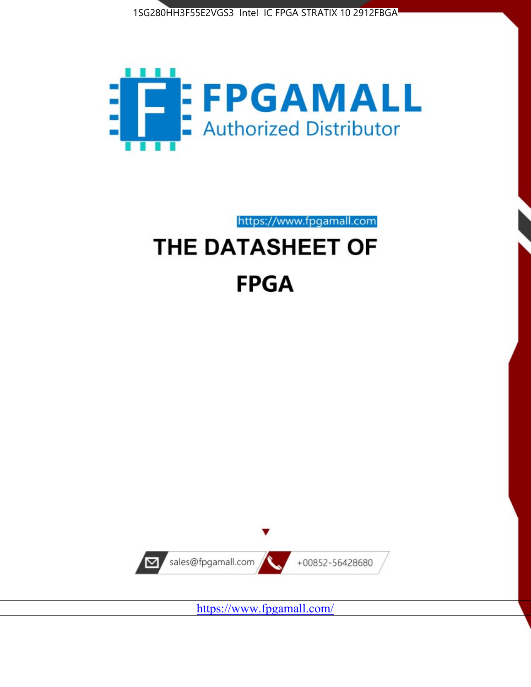



https://www.fpgamall.com

# THE DATASHEET OF **FPGA**



<https://www.fpgamall.com/>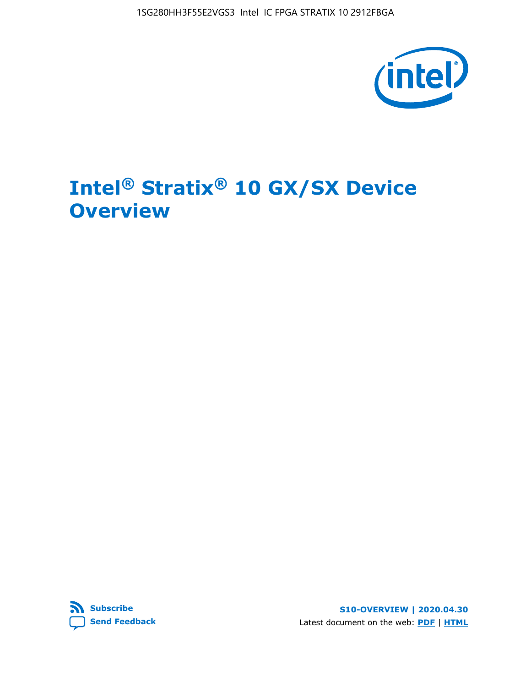

# **Intel® Stratix® 10 GX/SX Device Overview**



**S10-OVERVIEW | 2020.04.30** Latest document on the web: **[PDF](https://www.intel.com/content/dam/www/programmable/us/en/pdfs/literature/hb/stratix-10/s10-overview.pdf)** | **[HTML](https://www.intel.com/content/www/us/en/programmable/documentation/joc1442261161666.html)**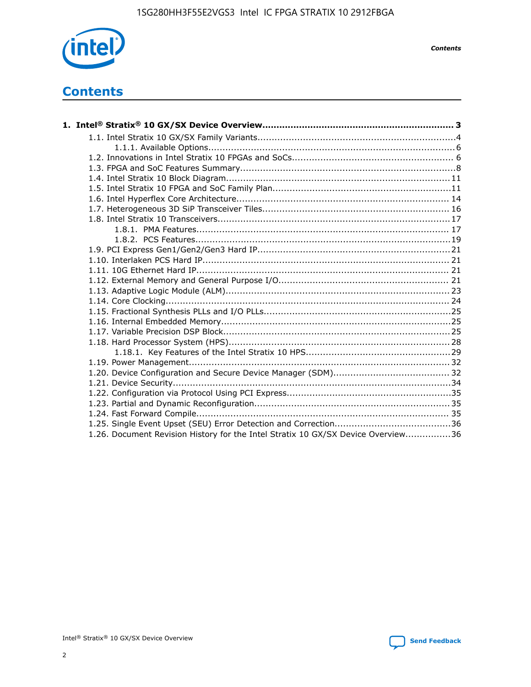

*Contents*

# **Contents**

| 1.26. Document Revision History for the Intel Stratix 10 GX/SX Device Overview36 |  |
|----------------------------------------------------------------------------------|--|

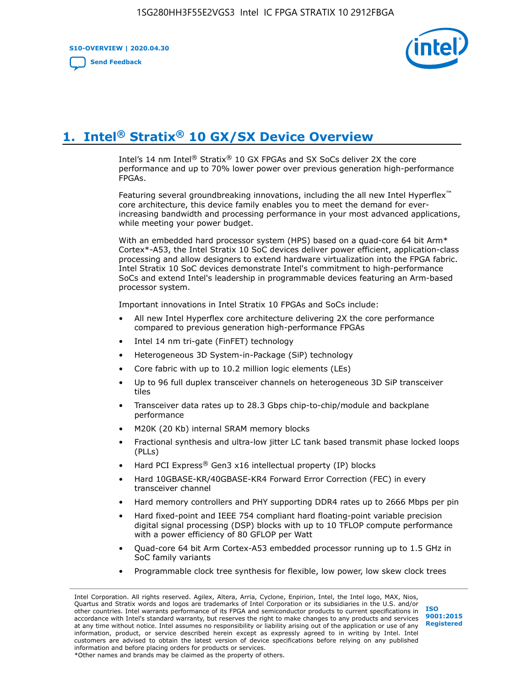**S10-OVERVIEW | 2020.04.30**

**[Send Feedback](mailto:FPGAtechdocfeedback@intel.com?subject=Feedback%20on%20Intel%20Stratix%2010%20GX/SX%20Device%20Overview%20(S10-OVERVIEW%202020.04.30)&body=We%20appreciate%20your%20feedback.%20In%20your%20comments,%20also%20specify%20the%20page%20number%20or%20paragraph.%20Thank%20you.)**



# **1. Intel® Stratix® 10 GX/SX Device Overview**

Intel's 14 nm Intel® Stratix® 10 GX FPGAs and SX SoCs deliver 2X the core performance and up to 70% lower power over previous generation high-performance FPGAs.

Featuring several groundbreaking innovations, including the all new Intel Hyperflex™ core architecture, this device family enables you to meet the demand for everincreasing bandwidth and processing performance in your most advanced applications, while meeting your power budget.

With an embedded hard processor system (HPS) based on a quad-core 64 bit Arm\* Cortex\*-A53, the Intel Stratix 10 SoC devices deliver power efficient, application-class processing and allow designers to extend hardware virtualization into the FPGA fabric. Intel Stratix 10 SoC devices demonstrate Intel's commitment to high-performance SoCs and extend Intel's leadership in programmable devices featuring an Arm-based processor system.

Important innovations in Intel Stratix 10 FPGAs and SoCs include:

- All new Intel Hyperflex core architecture delivering 2X the core performance compared to previous generation high-performance FPGAs
- Intel 14 nm tri-gate (FinFET) technology
- Heterogeneous 3D System-in-Package (SiP) technology
- Core fabric with up to 10.2 million logic elements (LEs)
- Up to 96 full duplex transceiver channels on heterogeneous 3D SiP transceiver tiles
- Transceiver data rates up to 28.3 Gbps chip-to-chip/module and backplane performance
- M20K (20 Kb) internal SRAM memory blocks
- Fractional synthesis and ultra-low jitter LC tank based transmit phase locked loops (PLLs)
- Hard PCI Express<sup>®</sup> Gen3 x16 intellectual property (IP) blocks
- Hard 10GBASE-KR/40GBASE-KR4 Forward Error Correction (FEC) in every transceiver channel
- Hard memory controllers and PHY supporting DDR4 rates up to 2666 Mbps per pin
- Hard fixed-point and IEEE 754 compliant hard floating-point variable precision digital signal processing (DSP) blocks with up to 10 TFLOP compute performance with a power efficiency of 80 GFLOP per Watt
- Quad-core 64 bit Arm Cortex-A53 embedded processor running up to 1.5 GHz in SoC family variants
- Programmable clock tree synthesis for flexible, low power, low skew clock trees

Intel Corporation. All rights reserved. Agilex, Altera, Arria, Cyclone, Enpirion, Intel, the Intel logo, MAX, Nios, Quartus and Stratix words and logos are trademarks of Intel Corporation or its subsidiaries in the U.S. and/or other countries. Intel warrants performance of its FPGA and semiconductor products to current specifications in accordance with Intel's standard warranty, but reserves the right to make changes to any products and services at any time without notice. Intel assumes no responsibility or liability arising out of the application or use of any information, product, or service described herein except as expressly agreed to in writing by Intel. Intel customers are advised to obtain the latest version of device specifications before relying on any published information and before placing orders for products or services. \*Other names and brands may be claimed as the property of others.

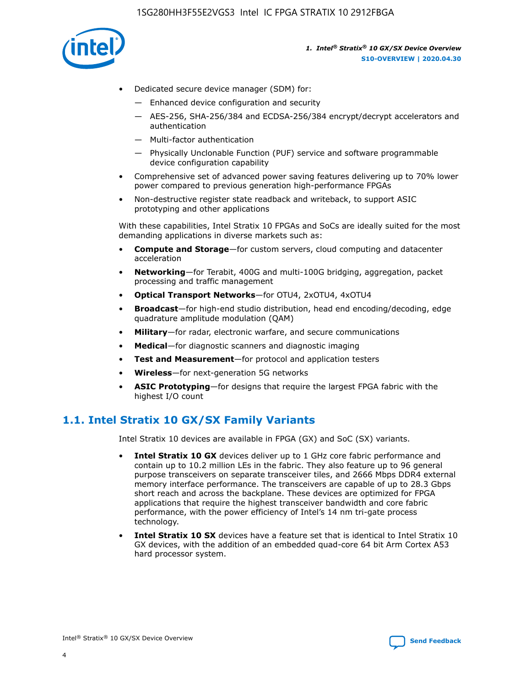

- Dedicated secure device manager (SDM) for:
	- Enhanced device configuration and security
	- AES-256, SHA-256/384 and ECDSA-256/384 encrypt/decrypt accelerators and authentication
	- Multi-factor authentication
	- Physically Unclonable Function (PUF) service and software programmable device configuration capability
- Comprehensive set of advanced power saving features delivering up to 70% lower power compared to previous generation high-performance FPGAs
- Non-destructive register state readback and writeback, to support ASIC prototyping and other applications

With these capabilities, Intel Stratix 10 FPGAs and SoCs are ideally suited for the most demanding applications in diverse markets such as:

- **Compute and Storage**—for custom servers, cloud computing and datacenter acceleration
- **Networking**—for Terabit, 400G and multi-100G bridging, aggregation, packet processing and traffic management
- **Optical Transport Networks**—for OTU4, 2xOTU4, 4xOTU4
- **Broadcast**—for high-end studio distribution, head end encoding/decoding, edge quadrature amplitude modulation (QAM)
- **Military**—for radar, electronic warfare, and secure communications
- **Medical**—for diagnostic scanners and diagnostic imaging
- **Test and Measurement**—for protocol and application testers
- **Wireless**—for next-generation 5G networks
- **ASIC Prototyping**—for designs that require the largest FPGA fabric with the highest I/O count

# **1.1. Intel Stratix 10 GX/SX Family Variants**

Intel Stratix 10 devices are available in FPGA (GX) and SoC (SX) variants.

- **Intel Stratix 10 GX** devices deliver up to 1 GHz core fabric performance and contain up to 10.2 million LEs in the fabric. They also feature up to 96 general purpose transceivers on separate transceiver tiles, and 2666 Mbps DDR4 external memory interface performance. The transceivers are capable of up to 28.3 Gbps short reach and across the backplane. These devices are optimized for FPGA applications that require the highest transceiver bandwidth and core fabric performance, with the power efficiency of Intel's 14 nm tri-gate process technology.
- **Intel Stratix 10 SX** devices have a feature set that is identical to Intel Stratix 10 GX devices, with the addition of an embedded quad-core 64 bit Arm Cortex A53 hard processor system.

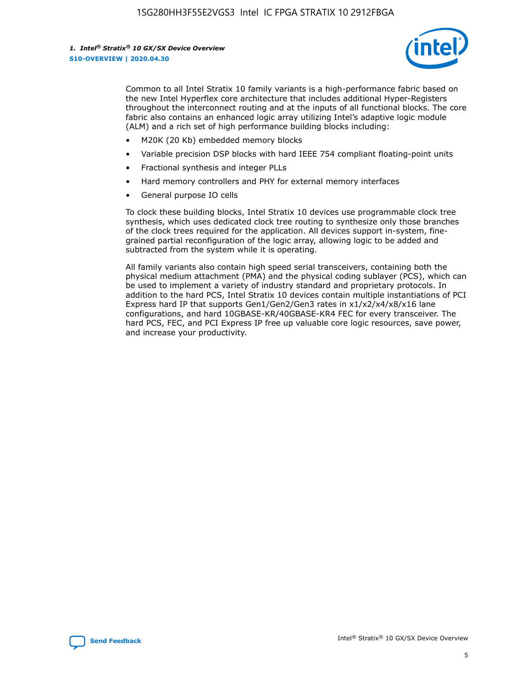

Common to all Intel Stratix 10 family variants is a high-performance fabric based on the new Intel Hyperflex core architecture that includes additional Hyper-Registers throughout the interconnect routing and at the inputs of all functional blocks. The core fabric also contains an enhanced logic array utilizing Intel's adaptive logic module (ALM) and a rich set of high performance building blocks including:

- M20K (20 Kb) embedded memory blocks
- Variable precision DSP blocks with hard IEEE 754 compliant floating-point units
- Fractional synthesis and integer PLLs
- Hard memory controllers and PHY for external memory interfaces
- General purpose IO cells

To clock these building blocks, Intel Stratix 10 devices use programmable clock tree synthesis, which uses dedicated clock tree routing to synthesize only those branches of the clock trees required for the application. All devices support in-system, finegrained partial reconfiguration of the logic array, allowing logic to be added and subtracted from the system while it is operating.

All family variants also contain high speed serial transceivers, containing both the physical medium attachment (PMA) and the physical coding sublayer (PCS), which can be used to implement a variety of industry standard and proprietary protocols. In addition to the hard PCS, Intel Stratix 10 devices contain multiple instantiations of PCI Express hard IP that supports Gen1/Gen2/Gen3 rates in x1/x2/x4/x8/x16 lane configurations, and hard 10GBASE-KR/40GBASE-KR4 FEC for every transceiver. The hard PCS, FEC, and PCI Express IP free up valuable core logic resources, save power, and increase your productivity.

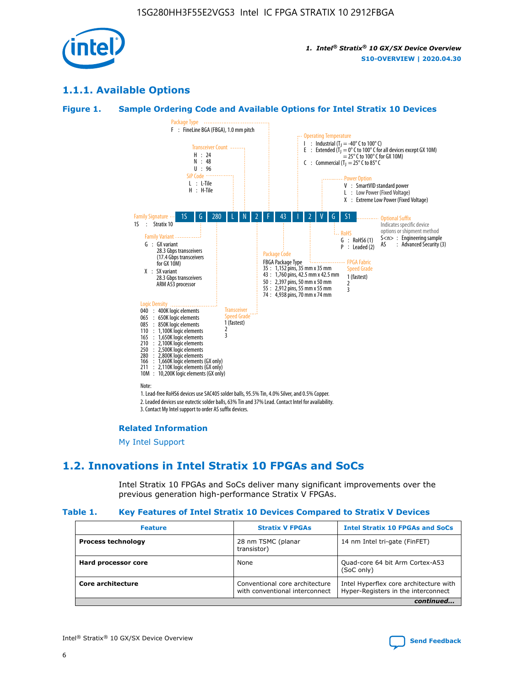

# **1.1.1. Available Options**

#### **Figure 1. Sample Ordering Code and Available Options for Intel Stratix 10 Devices**



3. Contact My Intel support to order AS suffix devices.

#### **Related Information**

[My Intel Support](https://www.intel.com/content/www/us/en/programmable/my-intel/mal-home.html)

# **1.2. Innovations in Intel Stratix 10 FPGAs and SoCs**

Intel Stratix 10 FPGAs and SoCs deliver many significant improvements over the previous generation high-performance Stratix V FPGAs.

#### **Table 1. Key Features of Intel Stratix 10 Devices Compared to Stratix V Devices**

| <b>Feature</b>            | <b>Stratix V FPGAs</b>                                           | <b>Intel Stratix 10 FPGAs and SoCs</b>                                        |  |
|---------------------------|------------------------------------------------------------------|-------------------------------------------------------------------------------|--|
| <b>Process technology</b> | 28 nm TSMC (planar<br>transistor)                                | 14 nm Intel tri-gate (FinFET)                                                 |  |
| Hard processor core       | None                                                             | Quad-core 64 bit Arm Cortex-A53<br>(SoC only)                                 |  |
| Core architecture         | Conventional core architecture<br>with conventional interconnect | Intel Hyperflex core architecture with<br>Hyper-Registers in the interconnect |  |
|                           |                                                                  | continued                                                                     |  |

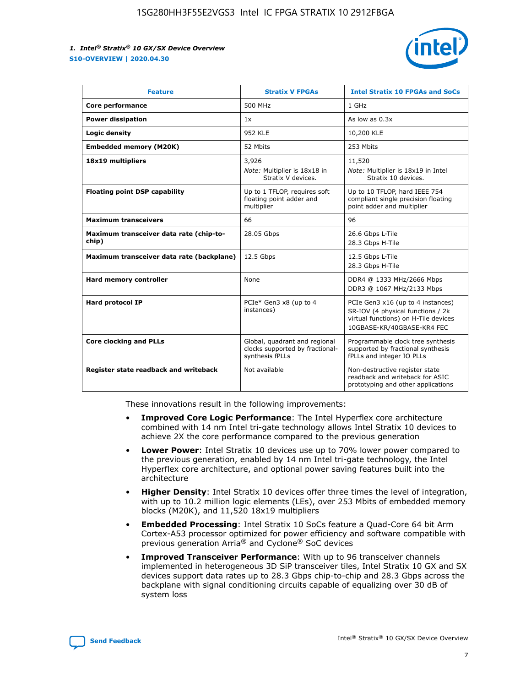

| <b>Feature</b>                                   | <b>Stratix V FPGAs</b>                                                              | <b>Intel Stratix 10 FPGAs and SoCs</b>                                                                                                       |
|--------------------------------------------------|-------------------------------------------------------------------------------------|----------------------------------------------------------------------------------------------------------------------------------------------|
| Core performance                                 | 500 MHz                                                                             | 1 GHz                                                                                                                                        |
| <b>Power dissipation</b>                         | 1x                                                                                  | As low as $0.3x$                                                                                                                             |
| Logic density                                    | <b>952 KLE</b>                                                                      | 10,200 KLE                                                                                                                                   |
| <b>Embedded memory (M20K)</b>                    | 52 Mbits                                                                            | 253 Mbits                                                                                                                                    |
| 18x19 multipliers                                | 3,926                                                                               | 11,520                                                                                                                                       |
|                                                  | Note: Multiplier is 18x18 in<br>Stratix V devices.                                  | Note: Multiplier is 18x19 in Intel<br>Stratix 10 devices.                                                                                    |
| <b>Floating point DSP capability</b>             | Up to 1 TFLOP, requires soft<br>floating point adder and<br>multiplier              | Up to 10 TFLOP, hard IEEE 754<br>compliant single precision floating<br>point adder and multiplier                                           |
| <b>Maximum transceivers</b>                      | 66                                                                                  | 96                                                                                                                                           |
| Maximum transceiver data rate (chip-to-<br>chip) | 28.05 Gbps                                                                          | 26.6 Gbps L-Tile<br>28.3 Gbps H-Tile                                                                                                         |
| Maximum transceiver data rate (backplane)        | 12.5 Gbps                                                                           | 12.5 Gbps L-Tile<br>28.3 Gbps H-Tile                                                                                                         |
| Hard memory controller                           | None                                                                                | DDR4 @ 1333 MHz/2666 Mbps<br>DDR3 @ 1067 MHz/2133 Mbps                                                                                       |
| Hard protocol IP                                 | PCIe* Gen3 x8 (up to 4<br>instances)                                                | PCIe Gen3 x16 (up to 4 instances)<br>SR-IOV (4 physical functions / 2k<br>virtual functions) on H-Tile devices<br>10GBASE-KR/40GBASE-KR4 FEC |
| <b>Core clocking and PLLs</b>                    | Global, quadrant and regional<br>clocks supported by fractional-<br>synthesis fPLLs | Programmable clock tree synthesis<br>supported by fractional synthesis<br>fPLLs and integer IO PLLs                                          |
| Register state readback and writeback            | Not available                                                                       | Non-destructive register state<br>readback and writeback for ASIC<br>prototyping and other applications                                      |

These innovations result in the following improvements:

- **Improved Core Logic Performance**: The Intel Hyperflex core architecture combined with 14 nm Intel tri-gate technology allows Intel Stratix 10 devices to achieve 2X the core performance compared to the previous generation
- **Lower Power**: Intel Stratix 10 devices use up to 70% lower power compared to the previous generation, enabled by 14 nm Intel tri-gate technology, the Intel Hyperflex core architecture, and optional power saving features built into the architecture
- **Higher Density**: Intel Stratix 10 devices offer three times the level of integration, with up to 10.2 million logic elements (LEs), over 253 Mbits of embedded memory blocks (M20K), and 11,520 18x19 multipliers
- **Embedded Processing**: Intel Stratix 10 SoCs feature a Quad-Core 64 bit Arm Cortex-A53 processor optimized for power efficiency and software compatible with previous generation Arria® and Cyclone® SoC devices
- **Improved Transceiver Performance**: With up to 96 transceiver channels implemented in heterogeneous 3D SiP transceiver tiles, Intel Stratix 10 GX and SX devices support data rates up to 28.3 Gbps chip-to-chip and 28.3 Gbps across the backplane with signal conditioning circuits capable of equalizing over 30 dB of system loss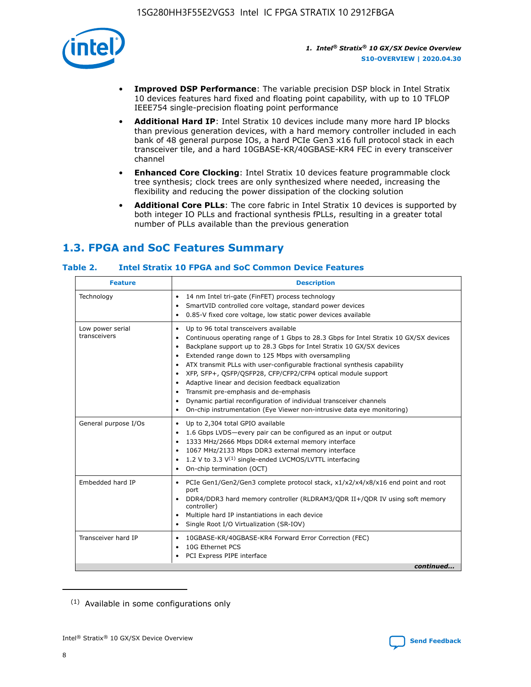

- **Improved DSP Performance**: The variable precision DSP block in Intel Stratix 10 devices features hard fixed and floating point capability, with up to 10 TFLOP IEEE754 single-precision floating point performance
- **Additional Hard IP**: Intel Stratix 10 devices include many more hard IP blocks than previous generation devices, with a hard memory controller included in each bank of 48 general purpose IOs, a hard PCIe Gen3 x16 full protocol stack in each transceiver tile, and a hard 10GBASE-KR/40GBASE-KR4 FEC in every transceiver channel
- **Enhanced Core Clocking**: Intel Stratix 10 devices feature programmable clock tree synthesis; clock trees are only synthesized where needed, increasing the flexibility and reducing the power dissipation of the clocking solution
- **Additional Core PLLs**: The core fabric in Intel Stratix 10 devices is supported by both integer IO PLLs and fractional synthesis fPLLs, resulting in a greater total number of PLLs available than the previous generation

# **1.3. FPGA and SoC Features Summary**

#### **Table 2. Intel Stratix 10 FPGA and SoC Common Device Features**

|                                  | <b>Description</b><br><b>Feature</b>                                                                                                                                                                                                                                                                                                                                                                                                                                                                                                                                                                                                                                                                                       |  |  |  |  |
|----------------------------------|----------------------------------------------------------------------------------------------------------------------------------------------------------------------------------------------------------------------------------------------------------------------------------------------------------------------------------------------------------------------------------------------------------------------------------------------------------------------------------------------------------------------------------------------------------------------------------------------------------------------------------------------------------------------------------------------------------------------------|--|--|--|--|
| Technology                       | 14 nm Intel tri-gate (FinFET) process technology<br>$\bullet$<br>SmartVID controlled core voltage, standard power devices<br>0.85-V fixed core voltage, low static power devices available<br>$\bullet$                                                                                                                                                                                                                                                                                                                                                                                                                                                                                                                    |  |  |  |  |
| Low power serial<br>transceivers | Up to 96 total transceivers available<br>$\bullet$<br>Continuous operating range of 1 Gbps to 28.3 Gbps for Intel Stratix 10 GX/SX devices<br>Backplane support up to 28.3 Gbps for Intel Stratix 10 GX/SX devices<br>$\bullet$<br>Extended range down to 125 Mbps with oversampling<br>ATX transmit PLLs with user-configurable fractional synthesis capability<br>$\bullet$<br>• XFP, SFP+, QSFP/QSFP28, CFP/CFP2/CFP4 optical module support<br>• Adaptive linear and decision feedback equalization<br>Transmit pre-emphasis and de-emphasis<br>Dynamic partial reconfiguration of individual transceiver channels<br>$\bullet$<br>On-chip instrumentation (Eye Viewer non-intrusive data eye monitoring)<br>$\bullet$ |  |  |  |  |
| General purpose I/Os             | Up to 2,304 total GPIO available<br>$\bullet$<br>1.6 Gbps LVDS-every pair can be configured as an input or output<br>$\bullet$<br>1333 MHz/2666 Mbps DDR4 external memory interface<br>1067 MHz/2133 Mbps DDR3 external memory interface<br>• 1.2 V to 3.3 $V^{(1)}$ single-ended LVCMOS/LVTTL interfacing<br>On-chip termination (OCT)<br>$\bullet$                                                                                                                                                                                                                                                                                                                                                                       |  |  |  |  |
| Embedded hard IP                 | PCIe Gen1/Gen2/Gen3 complete protocol stack, x1/x2/x4/x8/x16 end point and root<br>$\bullet$<br>port<br>DDR4/DDR3 hard memory controller (RLDRAM3/QDR II+/QDR IV using soft memory<br>controller)<br>• Multiple hard IP instantiations in each device<br>• Single Root I/O Virtualization (SR-IOV)                                                                                                                                                                                                                                                                                                                                                                                                                         |  |  |  |  |
| Transceiver hard IP              | 10GBASE-KR/40GBASE-KR4 Forward Error Correction (FEC)<br>$\bullet$<br>10G Ethernet PCS<br>$\bullet$<br>PCI Express PIPE interface<br>$\bullet$<br>continued                                                                                                                                                                                                                                                                                                                                                                                                                                                                                                                                                                |  |  |  |  |

<sup>(1)</sup> Available in some configurations only

8

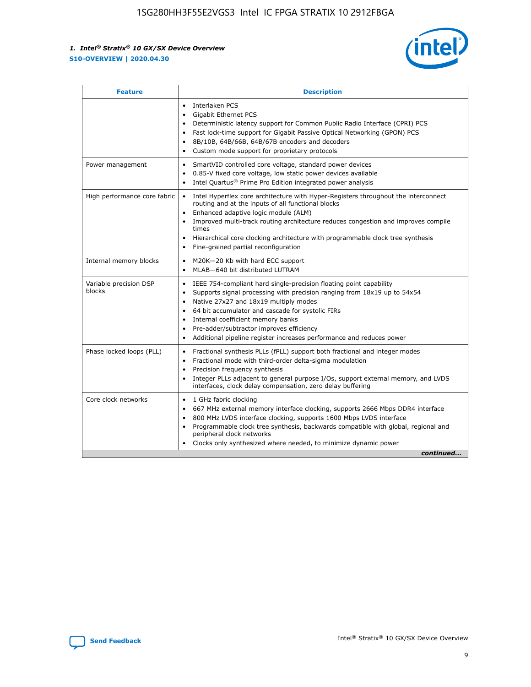

| <b>Feature</b>                   | <b>Description</b>                                                                                                                                                                                                                                                                                                                                                                                                                                                         |
|----------------------------------|----------------------------------------------------------------------------------------------------------------------------------------------------------------------------------------------------------------------------------------------------------------------------------------------------------------------------------------------------------------------------------------------------------------------------------------------------------------------------|
|                                  | Interlaken PCS<br>$\bullet$<br>Gigabit Ethernet PCS<br>$\bullet$<br>Deterministic latency support for Common Public Radio Interface (CPRI) PCS<br>$\bullet$<br>Fast lock-time support for Gigabit Passive Optical Networking (GPON) PCS<br>8B/10B, 64B/66B, 64B/67B encoders and decoders<br>$\bullet$<br>Custom mode support for proprietary protocols<br>$\bullet$                                                                                                       |
| Power management                 | SmartVID controlled core voltage, standard power devices<br>$\bullet$<br>0.85-V fixed core voltage, low static power devices available<br>$\bullet$<br>Intel Quartus <sup>®</sup> Prime Pro Edition integrated power analysis                                                                                                                                                                                                                                              |
| High performance core fabric     | Intel Hyperflex core architecture with Hyper-Registers throughout the interconnect<br>$\bullet$<br>routing and at the inputs of all functional blocks<br>Enhanced adaptive logic module (ALM)<br>$\bullet$<br>Improved multi-track routing architecture reduces congestion and improves compile<br>times<br>Hierarchical core clocking architecture with programmable clock tree synthesis<br>$\bullet$<br>Fine-grained partial reconfiguration                            |
| Internal memory blocks           | M20K-20 Kb with hard ECC support<br>٠<br>MLAB-640 bit distributed LUTRAM<br>$\bullet$                                                                                                                                                                                                                                                                                                                                                                                      |
| Variable precision DSP<br>blocks | IEEE 754-compliant hard single-precision floating point capability<br>$\bullet$<br>Supports signal processing with precision ranging from 18x19 up to 54x54<br>$\bullet$<br>Native 27x27 and 18x19 multiply modes<br>٠<br>64 bit accumulator and cascade for systolic FIRs<br>$\bullet$<br>Internal coefficient memory banks<br>Pre-adder/subtractor improves efficiency<br>$\bullet$<br>Additional pipeline register increases performance and reduces power<br>$\bullet$ |
| Phase locked loops (PLL)         | Fractional synthesis PLLs (fPLL) support both fractional and integer modes<br>$\bullet$<br>Fractional mode with third-order delta-sigma modulation<br>Precision frequency synthesis<br>$\bullet$<br>Integer PLLs adjacent to general purpose I/Os, support external memory, and LVDS<br>$\bullet$<br>interfaces, clock delay compensation, zero delay buffering                                                                                                            |
| Core clock networks              | 1 GHz fabric clocking<br>$\bullet$<br>667 MHz external memory interface clocking, supports 2666 Mbps DDR4 interface<br>$\bullet$<br>800 MHz LVDS interface clocking, supports 1600 Mbps LVDS interface<br>$\bullet$<br>Programmable clock tree synthesis, backwards compatible with global, regional and<br>$\bullet$<br>peripheral clock networks<br>Clocks only synthesized where needed, to minimize dynamic power<br>continued                                         |

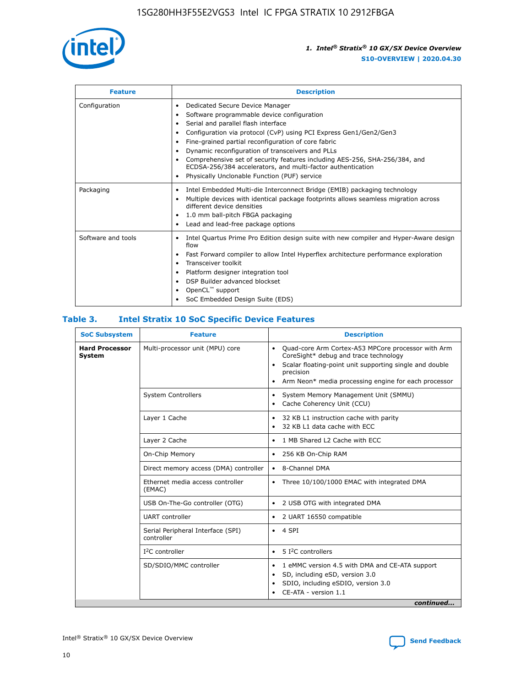

| <b>Feature</b>     | <b>Description</b>                                                                                                                                                                                                                                                                                                                                                                                                                                                                                                                      |
|--------------------|-----------------------------------------------------------------------------------------------------------------------------------------------------------------------------------------------------------------------------------------------------------------------------------------------------------------------------------------------------------------------------------------------------------------------------------------------------------------------------------------------------------------------------------------|
| Configuration      | Dedicated Secure Device Manager<br>٠<br>Software programmable device configuration<br>٠<br>Serial and parallel flash interface<br>$\bullet$<br>Configuration via protocol (CvP) using PCI Express Gen1/Gen2/Gen3<br>٠<br>Fine-grained partial reconfiguration of core fabric<br>٠<br>Dynamic reconfiguration of transceivers and PLLs<br>٠<br>Comprehensive set of security features including AES-256, SHA-256/384, and<br>ECDSA-256/384 accelerators, and multi-factor authentication<br>Physically Unclonable Function (PUF) service |
| Packaging          | Intel Embedded Multi-die Interconnect Bridge (EMIB) packaging technology<br>$\bullet$<br>Multiple devices with identical package footprints allows seamless migration across<br>$\bullet$<br>different device densities<br>1.0 mm ball-pitch FBGA packaging<br>٠<br>Lead and lead-free package options                                                                                                                                                                                                                                  |
| Software and tools | Intel Quartus Prime Pro Edition design suite with new compiler and Hyper-Aware design<br>٠<br>flow<br>Fast Forward compiler to allow Intel Hyperflex architecture performance exploration<br>٠<br>Transceiver toolkit<br>٠<br>Platform designer integration tool<br>٠<br>DSP Builder advanced blockset<br>OpenCL <sup>™</sup> support<br>SoC Embedded Design Suite (EDS)                                                                                                                                                                |

#### **Table 3. Intel Stratix 10 SoC Specific Device Features**

| <b>Hard Processor</b><br>Multi-processor unit (MPU) core<br>Quad-core Arm Cortex-A53 MPCore processor with Arm<br>$\bullet$<br>CoreSight* debug and trace technology<br><b>System</b><br>Scalar floating-point unit supporting single and double<br>$\bullet$<br>precision<br>Arm Neon* media processing engine for each processor<br>$\bullet$<br><b>System Controllers</b><br>System Memory Management Unit (SMMU)<br>$\bullet$<br>Cache Coherency Unit (CCU)<br>$\bullet$<br>Layer 1 Cache<br>32 KB L1 instruction cache with parity<br>$\bullet$<br>32 KB L1 data cache with ECC<br>$\bullet$<br>1 MB Shared L2 Cache with ECC<br>Layer 2 Cache<br>$\bullet$<br>On-Chip Memory<br>256 KB On-Chip RAM<br>$\bullet$<br>Direct memory access (DMA) controller<br>8-Channel DMA<br>$\bullet$<br>Ethernet media access controller<br>Three 10/100/1000 EMAC with integrated DMA<br>$\bullet$<br>(EMAC)<br>USB On-The-Go controller (OTG)<br>2 USB OTG with integrated DMA<br>$\bullet$<br><b>UART</b> controller<br>2 UART 16550 compatible<br>$\bullet$<br>Serial Peripheral Interface (SPI)<br>4 SPI<br>$\bullet$<br>controller<br>5 I <sup>2</sup> C controllers<br>$I2C$ controller<br>$\bullet$<br>SD/SDIO/MMC controller<br>1 eMMC version 4.5 with DMA and CE-ATA support<br>$\bullet$<br>SD, including eSD, version 3.0<br>$\bullet$<br>SDIO, including eSDIO, version 3.0<br>٠<br>CE-ATA - version 1.1 | <b>SoC Subsystem</b> | <b>Feature</b> | <b>Description</b> |
|----------------------------------------------------------------------------------------------------------------------------------------------------------------------------------------------------------------------------------------------------------------------------------------------------------------------------------------------------------------------------------------------------------------------------------------------------------------------------------------------------------------------------------------------------------------------------------------------------------------------------------------------------------------------------------------------------------------------------------------------------------------------------------------------------------------------------------------------------------------------------------------------------------------------------------------------------------------------------------------------------------------------------------------------------------------------------------------------------------------------------------------------------------------------------------------------------------------------------------------------------------------------------------------------------------------------------------------------------------------------------------------------------------------|----------------------|----------------|--------------------|
|                                                                                                                                                                                                                                                                                                                                                                                                                                                                                                                                                                                                                                                                                                                                                                                                                                                                                                                                                                                                                                                                                                                                                                                                                                                                                                                                                                                                                |                      |                |                    |
|                                                                                                                                                                                                                                                                                                                                                                                                                                                                                                                                                                                                                                                                                                                                                                                                                                                                                                                                                                                                                                                                                                                                                                                                                                                                                                                                                                                                                |                      |                |                    |
|                                                                                                                                                                                                                                                                                                                                                                                                                                                                                                                                                                                                                                                                                                                                                                                                                                                                                                                                                                                                                                                                                                                                                                                                                                                                                                                                                                                                                |                      |                |                    |
|                                                                                                                                                                                                                                                                                                                                                                                                                                                                                                                                                                                                                                                                                                                                                                                                                                                                                                                                                                                                                                                                                                                                                                                                                                                                                                                                                                                                                |                      |                |                    |
|                                                                                                                                                                                                                                                                                                                                                                                                                                                                                                                                                                                                                                                                                                                                                                                                                                                                                                                                                                                                                                                                                                                                                                                                                                                                                                                                                                                                                |                      |                |                    |
|                                                                                                                                                                                                                                                                                                                                                                                                                                                                                                                                                                                                                                                                                                                                                                                                                                                                                                                                                                                                                                                                                                                                                                                                                                                                                                                                                                                                                |                      |                |                    |
|                                                                                                                                                                                                                                                                                                                                                                                                                                                                                                                                                                                                                                                                                                                                                                                                                                                                                                                                                                                                                                                                                                                                                                                                                                                                                                                                                                                                                |                      |                |                    |
|                                                                                                                                                                                                                                                                                                                                                                                                                                                                                                                                                                                                                                                                                                                                                                                                                                                                                                                                                                                                                                                                                                                                                                                                                                                                                                                                                                                                                |                      |                |                    |
|                                                                                                                                                                                                                                                                                                                                                                                                                                                                                                                                                                                                                                                                                                                                                                                                                                                                                                                                                                                                                                                                                                                                                                                                                                                                                                                                                                                                                |                      |                |                    |
|                                                                                                                                                                                                                                                                                                                                                                                                                                                                                                                                                                                                                                                                                                                                                                                                                                                                                                                                                                                                                                                                                                                                                                                                                                                                                                                                                                                                                |                      |                |                    |
|                                                                                                                                                                                                                                                                                                                                                                                                                                                                                                                                                                                                                                                                                                                                                                                                                                                                                                                                                                                                                                                                                                                                                                                                                                                                                                                                                                                                                |                      |                |                    |
| continued                                                                                                                                                                                                                                                                                                                                                                                                                                                                                                                                                                                                                                                                                                                                                                                                                                                                                                                                                                                                                                                                                                                                                                                                                                                                                                                                                                                                      |                      |                |                    |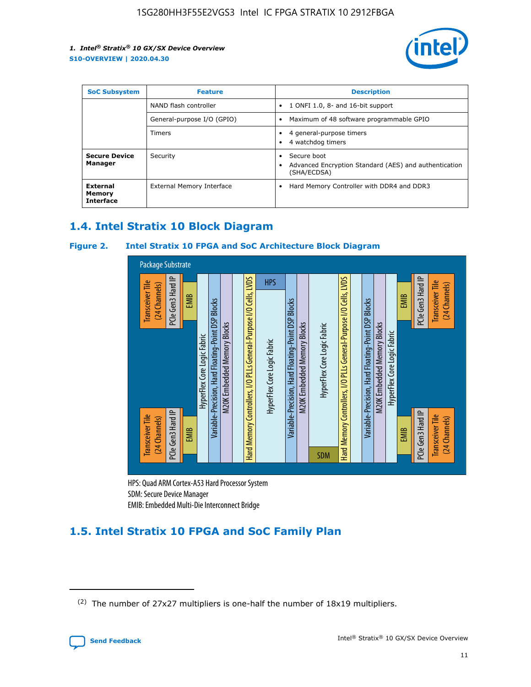

| <b>SoC Subsystem</b>                          | <b>Feature</b>             | <b>Description</b>                                                                  |  |  |
|-----------------------------------------------|----------------------------|-------------------------------------------------------------------------------------|--|--|
|                                               | NAND flash controller      | 1 ONFI 1.0, 8- and 16-bit support<br>$\bullet$                                      |  |  |
|                                               | General-purpose I/O (GPIO) | Maximum of 48 software programmable GPIO<br>$\bullet$                               |  |  |
|                                               | <b>Timers</b>              | 4 general-purpose timers<br>4 watchdog timers                                       |  |  |
| <b>Secure Device</b><br>Manager               | Security                   | Secure boot<br>Advanced Encryption Standard (AES) and authentication<br>(SHA/ECDSA) |  |  |
| <b>External</b><br>Memory<br><b>Interface</b> | External Memory Interface  | Hard Memory Controller with DDR4 and DDR3<br>$\bullet$                              |  |  |

# **1.4. Intel Stratix 10 Block Diagram**

#### **Figure 2. Intel Stratix 10 FPGA and SoC Architecture Block Diagram**



HPS: Quad ARM Cortex-A53 Hard Processor System SDM: Secure Device Manager

# **1.5. Intel Stratix 10 FPGA and SoC Family Plan**

<sup>(2)</sup> The number of 27x27 multipliers is one-half the number of 18x19 multipliers.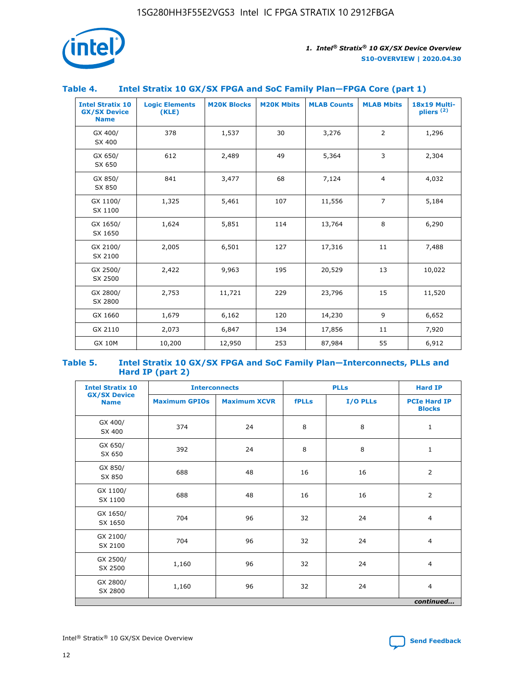

| Table 4. | Intel Stratix 10 GX/SX FPGA and SoC Family Plan-FPGA Core (part 1) |  |  |
|----------|--------------------------------------------------------------------|--|--|

| <b>Intel Stratix 10</b><br><b>GX/SX Device</b><br><b>Name</b> | <b>Logic Elements</b><br>(KLE) | <b>M20K Blocks</b> | <b>M20K Mbits</b> | <b>MLAB Counts</b> | <b>MLAB Mbits</b> | 18x19 Multi-<br>$p$ liers $(2)$ |
|---------------------------------------------------------------|--------------------------------|--------------------|-------------------|--------------------|-------------------|---------------------------------|
| GX 400/<br>SX 400                                             | 378                            | 1,537              | 30                | 3,276              | 2                 | 1,296                           |
| GX 650/<br>SX 650                                             | 612                            | 2,489              | 49                | 5,364              | 3                 | 2,304                           |
| GX 850/<br>SX 850                                             | 841                            | 3,477              | 68                | 7,124              | $\overline{4}$    | 4,032                           |
| GX 1100/<br>SX 1100                                           | 1,325                          | 5,461              | 107               | 11,556             | $\overline{7}$    | 5,184                           |
| GX 1650/<br>SX 1650                                           | 1,624                          | 5,851              | 114               | 13,764             | 8                 | 6,290                           |
| GX 2100/<br>SX 2100                                           | 2,005                          | 6,501              | 127               | 17,316             | 11                | 7,488                           |
| GX 2500/<br>SX 2500                                           | 2,422                          | 9,963              | 195               | 20,529             | 13                | 10,022                          |
| GX 2800/<br>SX 2800                                           | 2,753                          | 11,721             | 229               | 23,796             | 15                | 11,520                          |
| GX 1660                                                       | 1,679                          | 6,162              | 120               | 14,230             | 9                 | 6,652                           |
| GX 2110                                                       | 2,073                          | 6,847              | 134               | 17,856             | 11                | 7,920                           |
| <b>GX 10M</b>                                                 | 10,200                         | 12,950             | 253               | 87,984             | 55                | 6,912                           |

#### **Table 5. Intel Stratix 10 GX/SX FPGA and SoC Family Plan—Interconnects, PLLs and Hard IP (part 2)**

| <b>Intel Stratix 10</b>            | <b>Interconnects</b> |                     | <b>PLLs</b>  |          | <b>Hard IP</b>                       |
|------------------------------------|----------------------|---------------------|--------------|----------|--------------------------------------|
| <b>GX/SX Device</b><br><b>Name</b> | <b>Maximum GPIOs</b> | <b>Maximum XCVR</b> | <b>fPLLs</b> | I/O PLLs | <b>PCIe Hard IP</b><br><b>Blocks</b> |
| GX 400/<br>SX 400                  | 374                  | 24                  | 8            | 8        | $\mathbf{1}$                         |
| GX 650/<br>SX 650                  | 392                  | 24                  | 8            | 8        | $\mathbf{1}$                         |
| GX 850/<br>SX 850                  | 688                  | 48                  | 16           | 16       | 2                                    |
| GX 1100/<br>SX 1100                | 688                  | 48                  | 16           | 16       | 2                                    |
| GX 1650/<br>SX 1650                | 704                  | 96                  | 32           | 24       | $\overline{4}$                       |
| GX 2100/<br>SX 2100                | 704                  | 96                  | 32           | 24       | $\overline{4}$                       |
| GX 2500/<br>SX 2500                | 1,160                | 96                  | 32           | 24       | $\overline{4}$                       |
| GX 2800/<br>SX 2800                | 1,160                | 96                  | 32           | 24       | $\overline{4}$                       |
| continued                          |                      |                     |              |          |                                      |

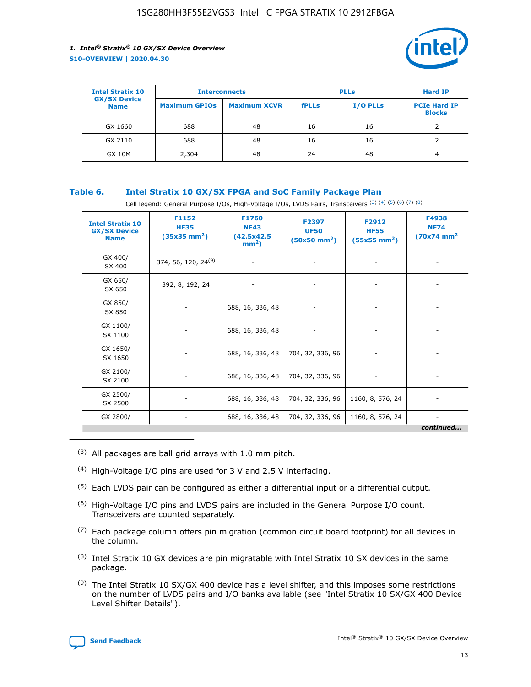

| <b>Intel Stratix 10</b>            | <b>Interconnects</b> |                     | <b>PLLs</b>  |                 | <b>Hard IP</b>                       |
|------------------------------------|----------------------|---------------------|--------------|-----------------|--------------------------------------|
| <b>GX/SX Device</b><br><b>Name</b> | <b>Maximum GPIOs</b> | <b>Maximum XCVR</b> | <b>fPLLs</b> | <b>I/O PLLs</b> | <b>PCIe Hard IP</b><br><b>Blocks</b> |
| GX 1660                            | 688                  | 48                  | 16           | 16              |                                      |
| GX 2110                            | 688                  | 48                  | 16           | 16              |                                      |
| <b>GX 10M</b>                      | 2,304                | 48                  | 24           | 48              | 4                                    |

#### **Table 6. Intel Stratix 10 GX/SX FPGA and SoC Family Package Plan**

Cell legend: General Purpose I/Os, High-Voltage I/Os, LVDS Pairs, Transceivers (3) (4) (5) (6) (7) (8)

| <b>Intel Stratix 10</b><br><b>GX/SX Device</b><br><b>Name</b> | F1152<br><b>HF35</b><br>$(35x35 \text{ mm}^2)$ | F1760<br><b>NF43</b><br>(42.5x42.5<br>$mm2$ ) | F2397<br><b>UF50</b><br>$(50x50 \text{ mm}^2)$ | F2912<br><b>HF55</b><br>$(55x55$ mm <sup>2</sup> ) | F4938<br><b>NF74</b><br>$(70x74)$ mm <sup>2</sup> |
|---------------------------------------------------------------|------------------------------------------------|-----------------------------------------------|------------------------------------------------|----------------------------------------------------|---------------------------------------------------|
| GX 400/<br>SX 400                                             | 374, 56, 120, 24 <sup>(9)</sup>                | $\overline{\phantom{a}}$                      | $\overline{\phantom{a}}$                       | ۰                                                  |                                                   |
| GX 650/<br>SX 650                                             | 392, 8, 192, 24                                | $\overline{\phantom{a}}$                      | $\overline{\phantom{a}}$                       |                                                    |                                                   |
| GX 850/<br>SX 850                                             | ۰.                                             | 688, 16, 336, 48                              |                                                |                                                    |                                                   |
| GX 1100/<br>SX 1100                                           |                                                | 688, 16, 336, 48                              |                                                |                                                    |                                                   |
| GX 1650/<br>SX 1650                                           |                                                | 688, 16, 336, 48                              | 704, 32, 336, 96                               |                                                    |                                                   |
| GX 2100/<br>SX 2100                                           | -                                              | 688, 16, 336, 48                              | 704, 32, 336, 96                               | $\overline{\phantom{a}}$                           |                                                   |
| GX 2500/<br>SX 2500                                           |                                                | 688, 16, 336, 48                              | 704, 32, 336, 96                               | 1160, 8, 576, 24                                   |                                                   |
| GX 2800/                                                      | -                                              | 688, 16, 336, 48                              | 704, 32, 336, 96                               | 1160, 8, 576, 24                                   | $\overline{\phantom{a}}$<br>continued             |

- (3) All packages are ball grid arrays with 1.0 mm pitch.
- (4) High-Voltage I/O pins are used for 3 V and 2.5 V interfacing.
- $(5)$  Each LVDS pair can be configured as either a differential input or a differential output.
- (6) High-Voltage I/O pins and LVDS pairs are included in the General Purpose I/O count. Transceivers are counted separately.
- $(7)$  Each package column offers pin migration (common circuit board footprint) for all devices in the column.
- $(8)$  Intel Stratix 10 GX devices are pin migratable with Intel Stratix 10 SX devices in the same package.
- $(9)$  The Intel Stratix 10 SX/GX 400 device has a level shifter, and this imposes some restrictions on the number of LVDS pairs and I/O banks available (see "Intel Stratix 10 SX/GX 400 Device Level Shifter Details").

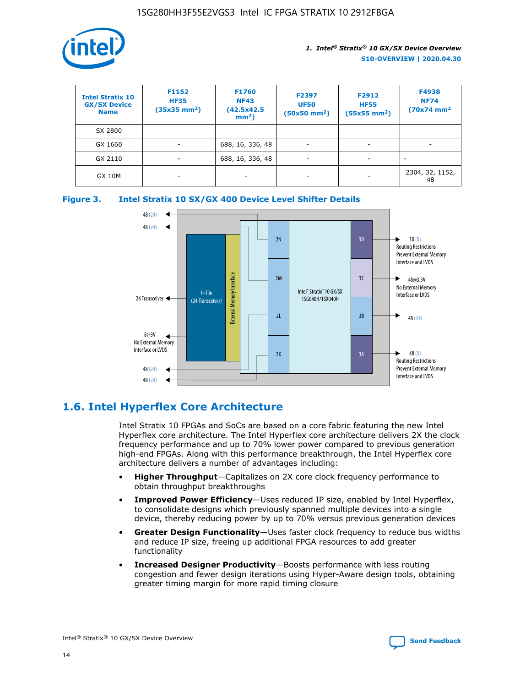

| <b>Intel Stratix 10</b><br><b>GX/SX Device</b><br><b>Name</b> | F1152<br><b>HF35</b><br>$(35x35)$ mm <sup>2</sup> ) | <b>F1760</b><br><b>NF43</b><br>(42.5x42.5<br>$mm2$ ) | F2397<br><b>UF50</b><br>$(50x50$ mm <sup>2</sup> ) | F2912<br><b>HF55</b><br>$(55x55$ mm <sup>2</sup> ) | F4938<br><b>NF74</b><br>$(70x74)$ mm <sup>2</sup> |
|---------------------------------------------------------------|-----------------------------------------------------|------------------------------------------------------|----------------------------------------------------|----------------------------------------------------|---------------------------------------------------|
| SX 2800                                                       |                                                     |                                                      |                                                    |                                                    |                                                   |
| GX 1660                                                       | ٠                                                   | 688, 16, 336, 48                                     | ٠                                                  |                                                    |                                                   |
| GX 2110                                                       | ٠                                                   | 688, 16, 336, 48                                     | $\overline{\phantom{a}}$                           |                                                    | $\overline{\phantom{a}}$                          |
| <b>GX 10M</b>                                                 | ٠                                                   | -                                                    | -                                                  |                                                    | 2304, 32, 1152,<br>48                             |





# **1.6. Intel Hyperflex Core Architecture**

Intel Stratix 10 FPGAs and SoCs are based on a core fabric featuring the new Intel Hyperflex core architecture. The Intel Hyperflex core architecture delivers 2X the clock frequency performance and up to 70% lower power compared to previous generation high-end FPGAs. Along with this performance breakthrough, the Intel Hyperflex core architecture delivers a number of advantages including:

- **Higher Throughput**—Capitalizes on 2X core clock frequency performance to obtain throughput breakthroughs
- **Improved Power Efficiency**—Uses reduced IP size, enabled by Intel Hyperflex, to consolidate designs which previously spanned multiple devices into a single device, thereby reducing power by up to 70% versus previous generation devices
- **Greater Design Functionality**—Uses faster clock frequency to reduce bus widths and reduce IP size, freeing up additional FPGA resources to add greater functionality
- **Increased Designer Productivity**—Boosts performance with less routing congestion and fewer design iterations using Hyper-Aware design tools, obtaining greater timing margin for more rapid timing closure

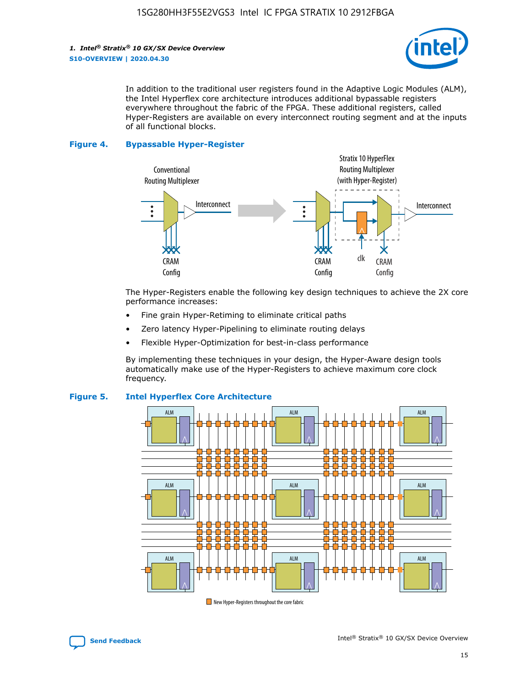*1. Intel® Stratix® 10 GX/SX Device Overview* **S10-OVERVIEW | 2020.04.30**



In addition to the traditional user registers found in the Adaptive Logic Modules (ALM), the Intel Hyperflex core architecture introduces additional bypassable registers everywhere throughout the fabric of the FPGA. These additional registers, called Hyper-Registers are available on every interconnect routing segment and at the inputs of all functional blocks.

#### **Figure 4. Bypassable Hyper-Register**



The Hyper-Registers enable the following key design techniques to achieve the 2X core performance increases:

- Fine grain Hyper-Retiming to eliminate critical paths
- Zero latency Hyper-Pipelining to eliminate routing delays
- Flexible Hyper-Optimization for best-in-class performance

By implementing these techniques in your design, the Hyper-Aware design tools automatically make use of the Hyper-Registers to achieve maximum core clock frequency.



#### **Figure 5. Intel Hyperflex Core Architecture**

New Hyper-Registers throughout the core fabric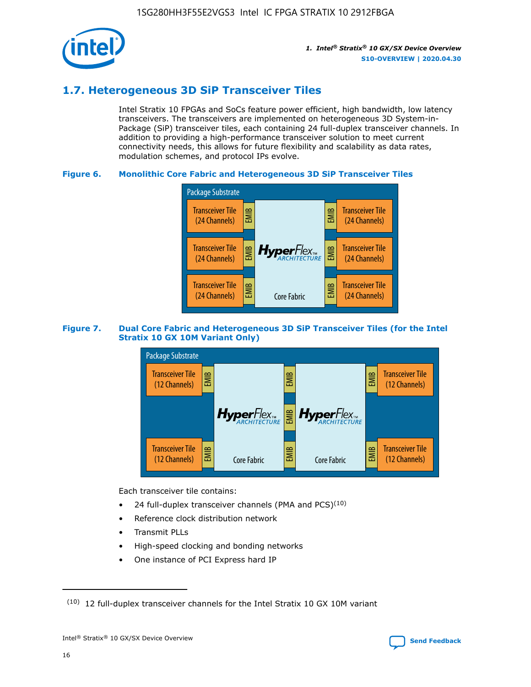

# **1.7. Heterogeneous 3D SiP Transceiver Tiles**

Intel Stratix 10 FPGAs and SoCs feature power efficient, high bandwidth, low latency transceivers. The transceivers are implemented on heterogeneous 3D System-in-Package (SiP) transceiver tiles, each containing 24 full-duplex transceiver channels. In addition to providing a high-performance transceiver solution to meet current connectivity needs, this allows for future flexibility and scalability as data rates, modulation schemes, and protocol IPs evolve.

#### **Figure 6. Monolithic Core Fabric and Heterogeneous 3D SiP Transceiver Tiles**



#### **Figure 7. Dual Core Fabric and Heterogeneous 3D SiP Transceiver Tiles (for the Intel Stratix 10 GX 10M Variant Only)**



Each transceiver tile contains:

- 24 full-duplex transceiver channels (PMA and PCS) $(10)$
- Reference clock distribution network
- Transmit PLLs
- High-speed clocking and bonding networks
- One instance of PCI Express hard IP

16



 $(10)$  12 full-duplex transceiver channels for the Intel Stratix 10 GX 10M variant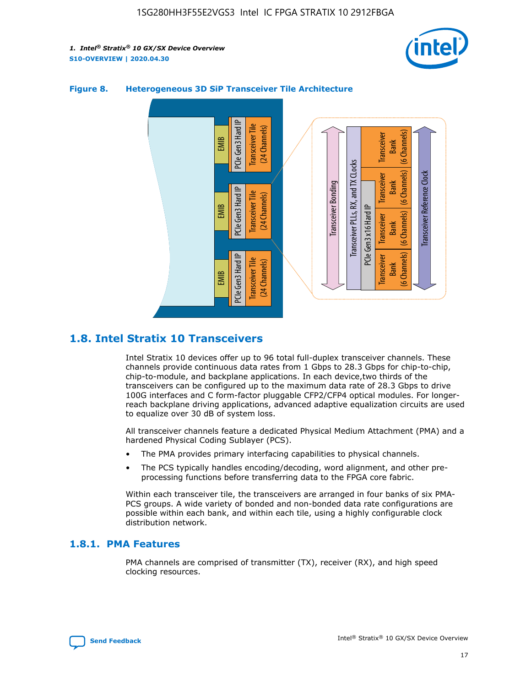



#### **Figure 8. Heterogeneous 3D SiP Transceiver Tile Architecture**

# **1.8. Intel Stratix 10 Transceivers**

Intel Stratix 10 devices offer up to 96 total full-duplex transceiver channels. These channels provide continuous data rates from 1 Gbps to 28.3 Gbps for chip-to-chip, chip-to-module, and backplane applications. In each device,two thirds of the transceivers can be configured up to the maximum data rate of 28.3 Gbps to drive 100G interfaces and C form-factor pluggable CFP2/CFP4 optical modules. For longerreach backplane driving applications, advanced adaptive equalization circuits are used to equalize over 30 dB of system loss.

All transceiver channels feature a dedicated Physical Medium Attachment (PMA) and a hardened Physical Coding Sublayer (PCS).

- The PMA provides primary interfacing capabilities to physical channels.
- The PCS typically handles encoding/decoding, word alignment, and other preprocessing functions before transferring data to the FPGA core fabric.

Within each transceiver tile, the transceivers are arranged in four banks of six PMA-PCS groups. A wide variety of bonded and non-bonded data rate configurations are possible within each bank, and within each tile, using a highly configurable clock distribution network.

#### **1.8.1. PMA Features**

PMA channels are comprised of transmitter (TX), receiver (RX), and high speed clocking resources.

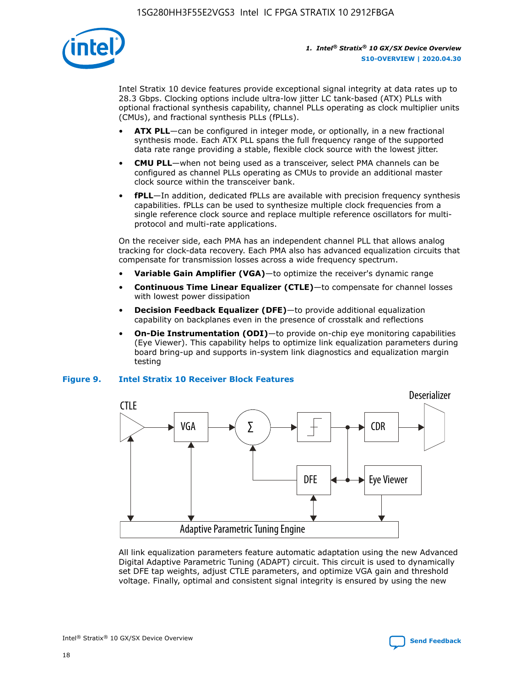

Intel Stratix 10 device features provide exceptional signal integrity at data rates up to 28.3 Gbps. Clocking options include ultra-low jitter LC tank-based (ATX) PLLs with optional fractional synthesis capability, channel PLLs operating as clock multiplier units (CMUs), and fractional synthesis PLLs (fPLLs).

- **ATX PLL**—can be configured in integer mode, or optionally, in a new fractional synthesis mode. Each ATX PLL spans the full frequency range of the supported data rate range providing a stable, flexible clock source with the lowest jitter.
- **CMU PLL**—when not being used as a transceiver, select PMA channels can be configured as channel PLLs operating as CMUs to provide an additional master clock source within the transceiver bank.
- **fPLL**—In addition, dedicated fPLLs are available with precision frequency synthesis capabilities. fPLLs can be used to synthesize multiple clock frequencies from a single reference clock source and replace multiple reference oscillators for multiprotocol and multi-rate applications.

On the receiver side, each PMA has an independent channel PLL that allows analog tracking for clock-data recovery. Each PMA also has advanced equalization circuits that compensate for transmission losses across a wide frequency spectrum.

- **Variable Gain Amplifier (VGA)**—to optimize the receiver's dynamic range
- **Continuous Time Linear Equalizer (CTLE)**—to compensate for channel losses with lowest power dissipation
- **Decision Feedback Equalizer (DFE)**—to provide additional equalization capability on backplanes even in the presence of crosstalk and reflections
- **On-Die Instrumentation (ODI)**—to provide on-chip eye monitoring capabilities (Eye Viewer). This capability helps to optimize link equalization parameters during board bring-up and supports in-system link diagnostics and equalization margin testing

#### **Figure 9. Intel Stratix 10 Receiver Block Features**



All link equalization parameters feature automatic adaptation using the new Advanced Digital Adaptive Parametric Tuning (ADAPT) circuit. This circuit is used to dynamically set DFE tap weights, adjust CTLE parameters, and optimize VGA gain and threshold voltage. Finally, optimal and consistent signal integrity is ensured by using the new



Intel<sup>®</sup> Stratix<sup>®</sup> 10 GX/SX Device Overview **[Send Feedback](mailto:FPGAtechdocfeedback@intel.com?subject=Feedback%20on%20Intel%20Stratix%2010%20GX/SX%20Device%20Overview%20(S10-OVERVIEW%202020.04.30)&body=We%20appreciate%20your%20feedback.%20In%20your%20comments,%20also%20specify%20the%20page%20number%20or%20paragraph.%20Thank%20you.)** Send Feedback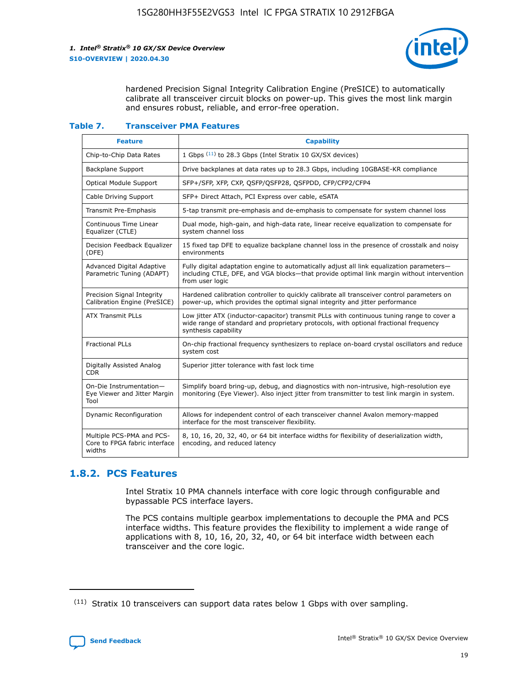

hardened Precision Signal Integrity Calibration Engine (PreSICE) to automatically calibrate all transceiver circuit blocks on power-up. This gives the most link margin and ensures robust, reliable, and error-free operation.

#### **Table 7. Transceiver PMA Features**

| <b>Feature</b>                                                       | <b>Capability</b>                                                                                                                                                                                         |
|----------------------------------------------------------------------|-----------------------------------------------------------------------------------------------------------------------------------------------------------------------------------------------------------|
| Chip-to-Chip Data Rates                                              | 1 Gbps (11) to 28.3 Gbps (Intel Stratix 10 GX/SX devices)                                                                                                                                                 |
| <b>Backplane Support</b>                                             | Drive backplanes at data rates up to 28.3 Gbps, including 10GBASE-KR compliance                                                                                                                           |
| Optical Module Support                                               | SFP+/SFP, XFP, CXP, QSFP/QSFP28, QSFPDD, CFP/CFP2/CFP4                                                                                                                                                    |
| Cable Driving Support                                                | SFP+ Direct Attach, PCI Express over cable, eSATA                                                                                                                                                         |
| <b>Transmit Pre-Emphasis</b>                                         | 5-tap transmit pre-emphasis and de-emphasis to compensate for system channel loss                                                                                                                         |
| Continuous Time Linear<br>Equalizer (CTLE)                           | Dual mode, high-gain, and high-data rate, linear receive equalization to compensate for<br>system channel loss                                                                                            |
| Decision Feedback Equalizer<br>(DFE)                                 | 15 fixed tap DFE to equalize backplane channel loss in the presence of crosstalk and noisy<br>environments                                                                                                |
| Advanced Digital Adaptive<br>Parametric Tuning (ADAPT)               | Fully digital adaptation engine to automatically adjust all link equalization parameters-<br>including CTLE, DFE, and VGA blocks-that provide optimal link margin without intervention<br>from user logic |
| Precision Signal Integrity<br>Calibration Engine (PreSICE)           | Hardened calibration controller to quickly calibrate all transceiver control parameters on<br>power-up, which provides the optimal signal integrity and jitter performance                                |
| <b>ATX Transmit PLLs</b>                                             | Low jitter ATX (inductor-capacitor) transmit PLLs with continuous tuning range to cover a<br>wide range of standard and proprietary protocols, with optional fractional frequency<br>synthesis capability |
| <b>Fractional PLLs</b>                                               | On-chip fractional frequency synthesizers to replace on-board crystal oscillators and reduce<br>system cost                                                                                               |
| Digitally Assisted Analog<br>CDR.                                    | Superior jitter tolerance with fast lock time                                                                                                                                                             |
| On-Die Instrumentation-<br>Eye Viewer and Jitter Margin<br>Tool      | Simplify board bring-up, debug, and diagnostics with non-intrusive, high-resolution eye<br>monitoring (Eye Viewer). Also inject jitter from transmitter to test link margin in system.                    |
| Dynamic Reconfiguration                                              | Allows for independent control of each transceiver channel Avalon memory-mapped<br>interface for the most transceiver flexibility.                                                                        |
| Multiple PCS-PMA and PCS-<br>Core to FPGA fabric interface<br>widths | 8, 10, 16, 20, 32, 40, or 64 bit interface widths for flexibility of deserialization width,<br>encoding, and reduced latency                                                                              |

### **1.8.2. PCS Features**

Intel Stratix 10 PMA channels interface with core logic through configurable and bypassable PCS interface layers.

The PCS contains multiple gearbox implementations to decouple the PMA and PCS interface widths. This feature provides the flexibility to implement a wide range of applications with 8, 10, 16, 20, 32, 40, or 64 bit interface width between each transceiver and the core logic.

 $(11)$  Stratix 10 transceivers can support data rates below 1 Gbps with over sampling.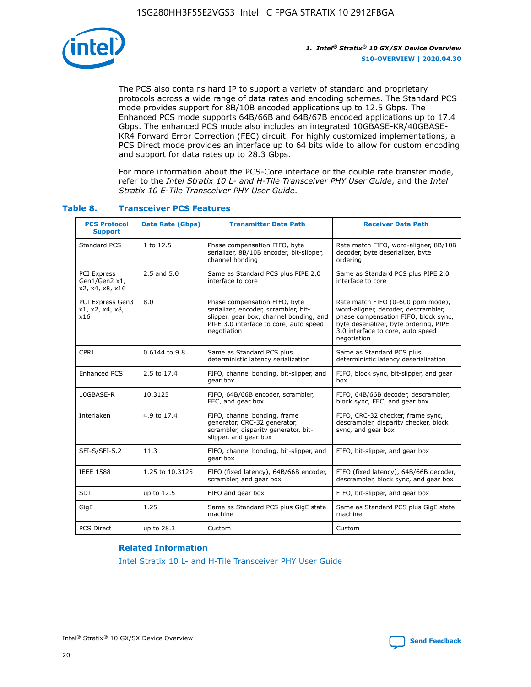

The PCS also contains hard IP to support a variety of standard and proprietary protocols across a wide range of data rates and encoding schemes. The Standard PCS mode provides support for 8B/10B encoded applications up to 12.5 Gbps. The Enhanced PCS mode supports 64B/66B and 64B/67B encoded applications up to 17.4 Gbps. The enhanced PCS mode also includes an integrated 10GBASE-KR/40GBASE-KR4 Forward Error Correction (FEC) circuit. For highly customized implementations, a PCS Direct mode provides an interface up to 64 bits wide to allow for custom encoding and support for data rates up to 28.3 Gbps.

For more information about the PCS-Core interface or the double rate transfer mode, refer to the *Intel Stratix 10 L- and H-Tile Transceiver PHY User Guide*, and the *Intel Stratix 10 E-Tile Transceiver PHY User Guide*.

| <b>PCS Protocol</b><br><b>Support</b>           | <b>Data Rate (Gbps)</b> | <b>Transmitter Data Path</b>                                                                                                                                              | <b>Receiver Data Path</b>                                                                                                                                                                                      |
|-------------------------------------------------|-------------------------|---------------------------------------------------------------------------------------------------------------------------------------------------------------------------|----------------------------------------------------------------------------------------------------------------------------------------------------------------------------------------------------------------|
| Standard PCS                                    | 1 to 12.5               | Phase compensation FIFO, byte<br>serializer, 8B/10B encoder, bit-slipper,<br>channel bonding                                                                              | Rate match FIFO, word-aligner, 8B/10B<br>decoder, byte deserializer, byte<br>ordering                                                                                                                          |
| PCI Express<br>Gen1/Gen2 x1,<br>x2, x4, x8, x16 | $2.5$ and $5.0$         | Same as Standard PCS plus PIPE 2.0<br>interface to core                                                                                                                   | Same as Standard PCS plus PIPE 2.0<br>interface to core                                                                                                                                                        |
| PCI Express Gen3<br>x1, x2, x4, x8,<br>x16      | 8.0                     | Phase compensation FIFO, byte<br>serializer, encoder, scrambler, bit-<br>slipper, gear box, channel bonding, and<br>PIPE 3.0 interface to core, auto speed<br>negotiation | Rate match FIFO (0-600 ppm mode),<br>word-aligner, decoder, descrambler,<br>phase compensation FIFO, block sync,<br>byte deserializer, byte ordering, PIPE<br>3.0 interface to core, auto speed<br>negotiation |
| CPRI                                            | 0.6144 to 9.8           | Same as Standard PCS plus<br>deterministic latency serialization                                                                                                          | Same as Standard PCS plus<br>deterministic latency deserialization                                                                                                                                             |
| <b>Enhanced PCS</b>                             | 2.5 to 17.4             | FIFO, channel bonding, bit-slipper, and<br>gear box                                                                                                                       | FIFO, block sync, bit-slipper, and gear<br>box                                                                                                                                                                 |
| 10GBASE-R                                       | 10.3125                 | FIFO, 64B/66B encoder, scrambler,<br>FEC, and gear box                                                                                                                    | FIFO, 64B/66B decoder, descrambler,<br>block sync, FEC, and gear box                                                                                                                                           |
| Interlaken                                      | 4.9 to 17.4             | FIFO, channel bonding, frame<br>generator, CRC-32 generator,<br>scrambler, disparity generator, bit-<br>slipper, and gear box                                             | FIFO, CRC-32 checker, frame sync,<br>descrambler, disparity checker, block<br>sync, and gear box                                                                                                               |
| SFI-S/SFI-5.2                                   | 11.3                    | FIFO, channel bonding, bit-slipper, and<br>gear box                                                                                                                       | FIFO, bit-slipper, and gear box                                                                                                                                                                                |
| <b>IEEE 1588</b>                                | 1.25 to 10.3125         | FIFO (fixed latency), 64B/66B encoder,<br>scrambler, and gear box                                                                                                         | FIFO (fixed latency), 64B/66B decoder,<br>descrambler, block sync, and gear box                                                                                                                                |
| SDI                                             | up to 12.5              | FIFO and gear box                                                                                                                                                         | FIFO, bit-slipper, and gear box                                                                                                                                                                                |
| GigE                                            | 1.25                    | Same as Standard PCS plus GigE state<br>machine                                                                                                                           | Same as Standard PCS plus GigE state<br>machine                                                                                                                                                                |
| <b>PCS Direct</b>                               | up to 28.3              | Custom                                                                                                                                                                    | Custom                                                                                                                                                                                                         |

#### **Table 8. Transceiver PCS Features**

#### **Related Information**

[Intel Stratix 10 L- and H-Tile Transceiver PHY User Guide](https://www.altera.com/documentation/wry1479165198810.html)

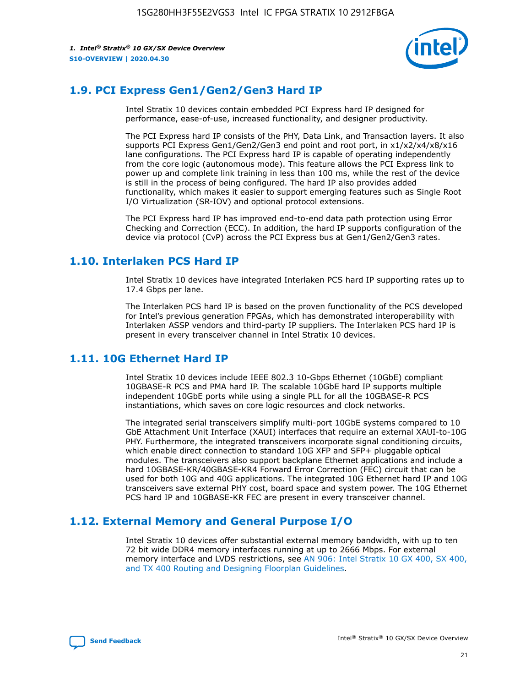

# **1.9. PCI Express Gen1/Gen2/Gen3 Hard IP**

Intel Stratix 10 devices contain embedded PCI Express hard IP designed for performance, ease-of-use, increased functionality, and designer productivity.

The PCI Express hard IP consists of the PHY, Data Link, and Transaction layers. It also supports PCI Express Gen1/Gen2/Gen3 end point and root port, in x1/x2/x4/x8/x16 lane configurations. The PCI Express hard IP is capable of operating independently from the core logic (autonomous mode). This feature allows the PCI Express link to power up and complete link training in less than 100 ms, while the rest of the device is still in the process of being configured. The hard IP also provides added functionality, which makes it easier to support emerging features such as Single Root I/O Virtualization (SR-IOV) and optional protocol extensions.

The PCI Express hard IP has improved end-to-end data path protection using Error Checking and Correction (ECC). In addition, the hard IP supports configuration of the device via protocol (CvP) across the PCI Express bus at Gen1/Gen2/Gen3 rates.

## **1.10. Interlaken PCS Hard IP**

Intel Stratix 10 devices have integrated Interlaken PCS hard IP supporting rates up to 17.4 Gbps per lane.

The Interlaken PCS hard IP is based on the proven functionality of the PCS developed for Intel's previous generation FPGAs, which has demonstrated interoperability with Interlaken ASSP vendors and third-party IP suppliers. The Interlaken PCS hard IP is present in every transceiver channel in Intel Stratix 10 devices.

# **1.11. 10G Ethernet Hard IP**

Intel Stratix 10 devices include IEEE 802.3 10-Gbps Ethernet (10GbE) compliant 10GBASE-R PCS and PMA hard IP. The scalable 10GbE hard IP supports multiple independent 10GbE ports while using a single PLL for all the 10GBASE-R PCS instantiations, which saves on core logic resources and clock networks.

The integrated serial transceivers simplify multi-port 10GbE systems compared to 10 GbE Attachment Unit Interface (XAUI) interfaces that require an external XAUI-to-10G PHY. Furthermore, the integrated transceivers incorporate signal conditioning circuits, which enable direct connection to standard 10G XFP and SFP+ pluggable optical modules. The transceivers also support backplane Ethernet applications and include a hard 10GBASE-KR/40GBASE-KR4 Forward Error Correction (FEC) circuit that can be used for both 10G and 40G applications. The integrated 10G Ethernet hard IP and 10G transceivers save external PHY cost, board space and system power. The 10G Ethernet PCS hard IP and 10GBASE-KR FEC are present in every transceiver channel.

# **1.12. External Memory and General Purpose I/O**

Intel Stratix 10 devices offer substantial external memory bandwidth, with up to ten 72 bit wide DDR4 memory interfaces running at up to 2666 Mbps. For external memory interface and LVDS restrictions, see [AN 906: Intel Stratix 10 GX 400, SX 400,](https://www.intel.com/content/www/us/en/programmable/documentation/sjf1574667190623.html#bft1574667627484) [and TX 400 Routing and Designing Floorplan Guidelines.](https://www.intel.com/content/www/us/en/programmable/documentation/sjf1574667190623.html#bft1574667627484)

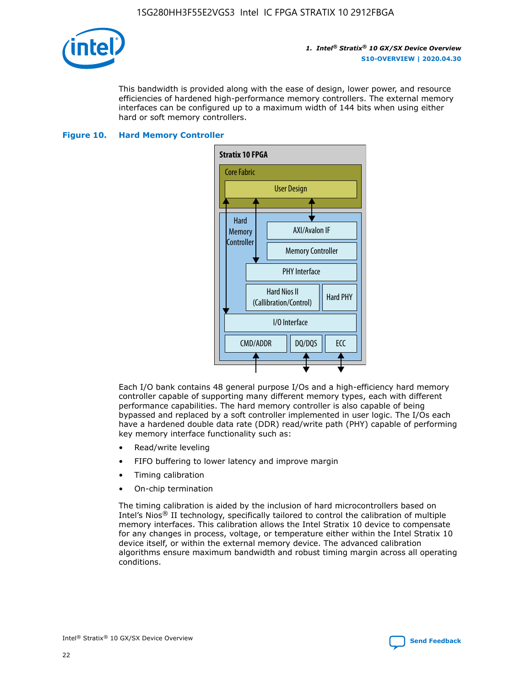

This bandwidth is provided along with the ease of design, lower power, and resource efficiencies of hardened high-performance memory controllers. The external memory interfaces can be configured up to a maximum width of 144 bits when using either hard or soft memory controllers.

#### **Figure 10. Hard Memory Controller**



Each I/O bank contains 48 general purpose I/Os and a high-efficiency hard memory controller capable of supporting many different memory types, each with different performance capabilities. The hard memory controller is also capable of being bypassed and replaced by a soft controller implemented in user logic. The I/Os each have a hardened double data rate (DDR) read/write path (PHY) capable of performing key memory interface functionality such as:

- Read/write leveling
- FIFO buffering to lower latency and improve margin
- Timing calibration
- On-chip termination

The timing calibration is aided by the inclusion of hard microcontrollers based on Intel's Nios® II technology, specifically tailored to control the calibration of multiple memory interfaces. This calibration allows the Intel Stratix 10 device to compensate for any changes in process, voltage, or temperature either within the Intel Stratix 10 device itself, or within the external memory device. The advanced calibration algorithms ensure maximum bandwidth and robust timing margin across all operating conditions.

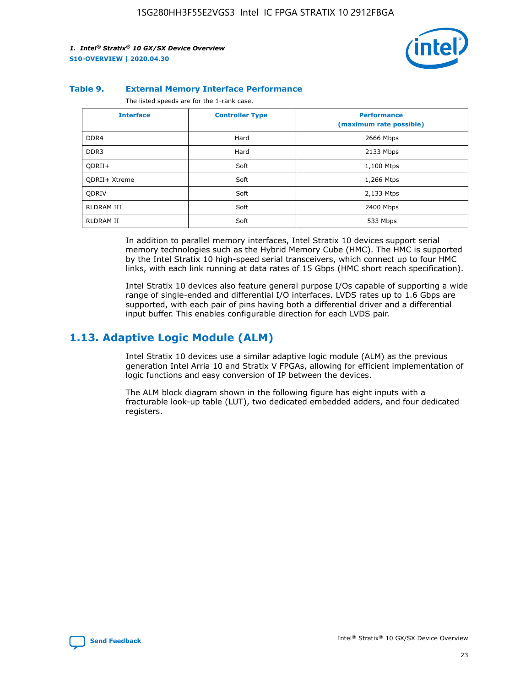

#### **Table 9. External Memory Interface Performance**

The listed speeds are for the 1-rank case.

| <b>Interface</b> | <b>Controller Type</b> | <b>Performance</b><br>(maximum rate possible) |
|------------------|------------------------|-----------------------------------------------|
| DDR4             | Hard                   | 2666 Mbps                                     |
| DDR <sub>3</sub> | Hard                   | 2133 Mbps                                     |
| QDRII+           | Soft                   | 1,100 Mtps                                    |
| QDRII+ Xtreme    | Soft                   | 1,266 Mtps                                    |
| <b>ODRIV</b>     | Soft                   | 2,133 Mtps                                    |
| RLDRAM III       | Soft                   | 2400 Mbps                                     |
| <b>RLDRAM II</b> | Soft                   | 533 Mbps                                      |

In addition to parallel memory interfaces, Intel Stratix 10 devices support serial memory technologies such as the Hybrid Memory Cube (HMC). The HMC is supported by the Intel Stratix 10 high-speed serial transceivers, which connect up to four HMC links, with each link running at data rates of 15 Gbps (HMC short reach specification).

Intel Stratix 10 devices also feature general purpose I/Os capable of supporting a wide range of single-ended and differential I/O interfaces. LVDS rates up to 1.6 Gbps are supported, with each pair of pins having both a differential driver and a differential input buffer. This enables configurable direction for each LVDS pair.

# **1.13. Adaptive Logic Module (ALM)**

Intel Stratix 10 devices use a similar adaptive logic module (ALM) as the previous generation Intel Arria 10 and Stratix V FPGAs, allowing for efficient implementation of logic functions and easy conversion of IP between the devices.

The ALM block diagram shown in the following figure has eight inputs with a fracturable look-up table (LUT), two dedicated embedded adders, and four dedicated registers.

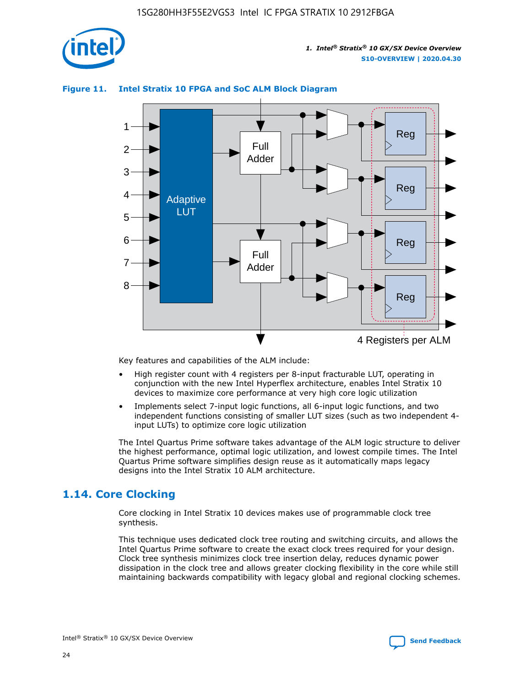

# Reg Reg 1 2 3 4 5 6 7 8 Reg Reg 4 Registers per ALM Full Adder Full Adder Adaptive LUT

#### **Figure 11. Intel Stratix 10 FPGA and SoC ALM Block Diagram**

Key features and capabilities of the ALM include:

- High register count with 4 registers per 8-input fracturable LUT, operating in conjunction with the new Intel Hyperflex architecture, enables Intel Stratix 10 devices to maximize core performance at very high core logic utilization
- Implements select 7-input logic functions, all 6-input logic functions, and two independent functions consisting of smaller LUT sizes (such as two independent 4 input LUTs) to optimize core logic utilization

The Intel Quartus Prime software takes advantage of the ALM logic structure to deliver the highest performance, optimal logic utilization, and lowest compile times. The Intel Quartus Prime software simplifies design reuse as it automatically maps legacy designs into the Intel Stratix 10 ALM architecture.

# **1.14. Core Clocking**

Core clocking in Intel Stratix 10 devices makes use of programmable clock tree synthesis.

This technique uses dedicated clock tree routing and switching circuits, and allows the Intel Quartus Prime software to create the exact clock trees required for your design. Clock tree synthesis minimizes clock tree insertion delay, reduces dynamic power dissipation in the clock tree and allows greater clocking flexibility in the core while still maintaining backwards compatibility with legacy global and regional clocking schemes.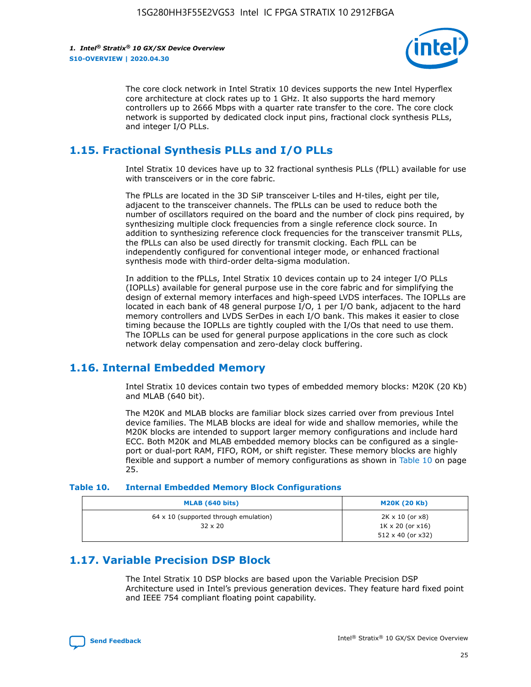

The core clock network in Intel Stratix 10 devices supports the new Intel Hyperflex core architecture at clock rates up to 1 GHz. It also supports the hard memory controllers up to 2666 Mbps with a quarter rate transfer to the core. The core clock network is supported by dedicated clock input pins, fractional clock synthesis PLLs, and integer I/O PLLs.

# **1.15. Fractional Synthesis PLLs and I/O PLLs**

Intel Stratix 10 devices have up to 32 fractional synthesis PLLs (fPLL) available for use with transceivers or in the core fabric.

The fPLLs are located in the 3D SiP transceiver L-tiles and H-tiles, eight per tile, adjacent to the transceiver channels. The fPLLs can be used to reduce both the number of oscillators required on the board and the number of clock pins required, by synthesizing multiple clock frequencies from a single reference clock source. In addition to synthesizing reference clock frequencies for the transceiver transmit PLLs, the fPLLs can also be used directly for transmit clocking. Each fPLL can be independently configured for conventional integer mode, or enhanced fractional synthesis mode with third-order delta-sigma modulation.

In addition to the fPLLs, Intel Stratix 10 devices contain up to 24 integer I/O PLLs (IOPLLs) available for general purpose use in the core fabric and for simplifying the design of external memory interfaces and high-speed LVDS interfaces. The IOPLLs are located in each bank of 48 general purpose I/O, 1 per I/O bank, adjacent to the hard memory controllers and LVDS SerDes in each I/O bank. This makes it easier to close timing because the IOPLLs are tightly coupled with the I/Os that need to use them. The IOPLLs can be used for general purpose applications in the core such as clock network delay compensation and zero-delay clock buffering.

# **1.16. Internal Embedded Memory**

Intel Stratix 10 devices contain two types of embedded memory blocks: M20K (20 Kb) and MLAB (640 bit).

The M20K and MLAB blocks are familiar block sizes carried over from previous Intel device families. The MLAB blocks are ideal for wide and shallow memories, while the M20K blocks are intended to support larger memory configurations and include hard ECC. Both M20K and MLAB embedded memory blocks can be configured as a singleport or dual-port RAM, FIFO, ROM, or shift register. These memory blocks are highly flexible and support a number of memory configurations as shown in Table 10 on page 25.

#### **Table 10. Internal Embedded Memory Block Configurations**

| MLAB (640 bits)                                                | <b>M20K (20 Kb)</b>                                                                    |
|----------------------------------------------------------------|----------------------------------------------------------------------------------------|
| $64 \times 10$ (supported through emulation)<br>$32 \times 20$ | $2K \times 10$ (or $x8$ )<br>$1K \times 20$ (or $x16$ )<br>$512 \times 40$ (or $x32$ ) |

# **1.17. Variable Precision DSP Block**

The Intel Stratix 10 DSP blocks are based upon the Variable Precision DSP Architecture used in Intel's previous generation devices. They feature hard fixed point and IEEE 754 compliant floating point capability.

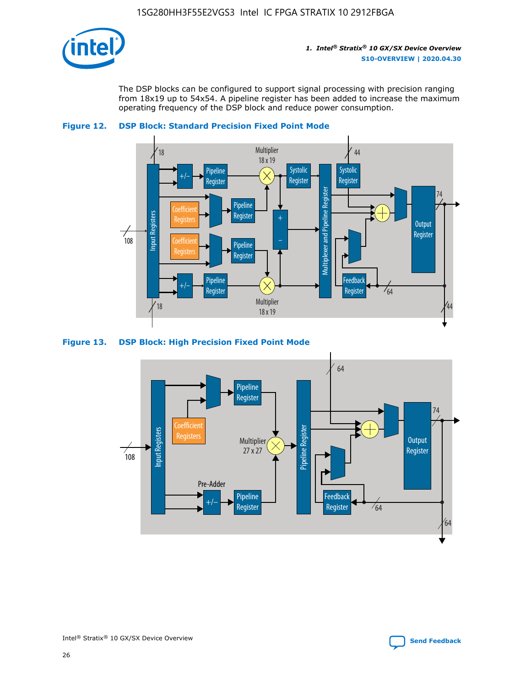

The DSP blocks can be configured to support signal processing with precision ranging from 18x19 up to 54x54. A pipeline register has been added to increase the maximum operating frequency of the DSP block and reduce power consumption.





#### **Figure 13. DSP Block: High Precision Fixed Point Mode**

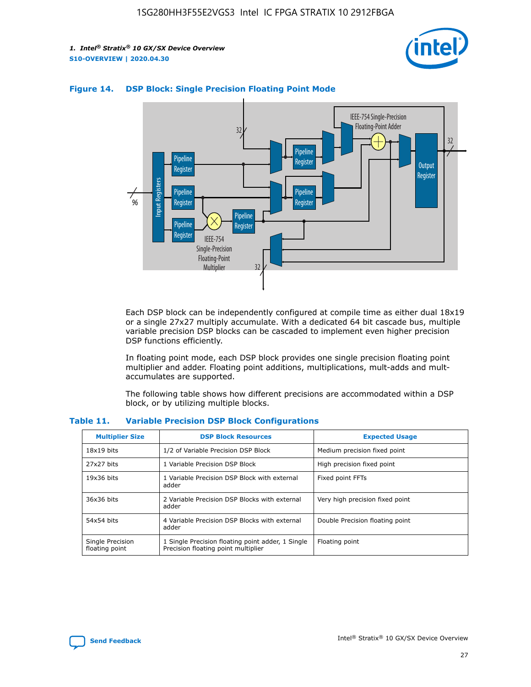



#### **Figure 14. DSP Block: Single Precision Floating Point Mode**

Each DSP block can be independently configured at compile time as either dual 18x19 or a single 27x27 multiply accumulate. With a dedicated 64 bit cascade bus, multiple variable precision DSP blocks can be cascaded to implement even higher precision DSP functions efficiently.

In floating point mode, each DSP block provides one single precision floating point multiplier and adder. Floating point additions, multiplications, mult-adds and multaccumulates are supported.

The following table shows how different precisions are accommodated within a DSP block, or by utilizing multiple blocks.

| <b>Multiplier Size</b>             | <b>DSP Block Resources</b>                                                               | <b>Expected Usage</b>           |
|------------------------------------|------------------------------------------------------------------------------------------|---------------------------------|
| $18x19$ bits                       | 1/2 of Variable Precision DSP Block                                                      | Medium precision fixed point    |
| 27x27 bits                         | 1 Variable Precision DSP Block                                                           | High precision fixed point      |
| $19x36$ bits                       | 1 Variable Precision DSP Block with external<br>adder                                    | Fixed point FFTs                |
| 36x36 bits                         | 2 Variable Precision DSP Blocks with external<br>adder                                   | Very high precision fixed point |
| 54x54 bits                         | 4 Variable Precision DSP Blocks with external<br>adder                                   | Double Precision floating point |
| Single Precision<br>floating point | 1 Single Precision floating point adder, 1 Single<br>Precision floating point multiplier | Floating point                  |

#### **Table 11. Variable Precision DSP Block Configurations**

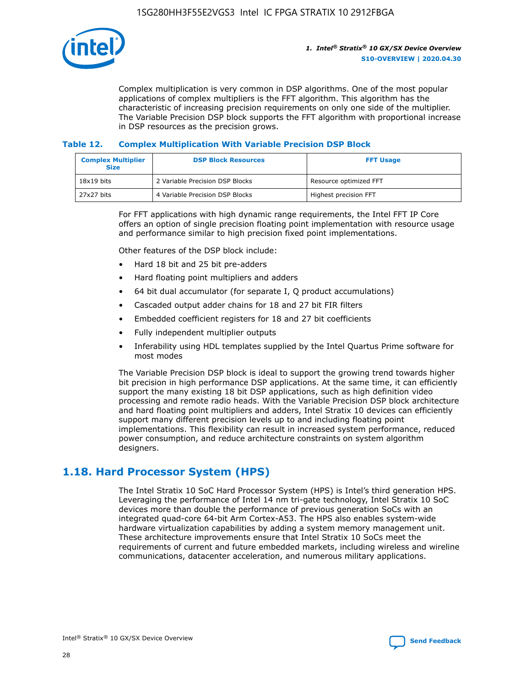

Complex multiplication is very common in DSP algorithms. One of the most popular applications of complex multipliers is the FFT algorithm. This algorithm has the characteristic of increasing precision requirements on only one side of the multiplier. The Variable Precision DSP block supports the FFT algorithm with proportional increase in DSP resources as the precision grows.

#### **Table 12. Complex Multiplication With Variable Precision DSP Block**

| <b>Complex Multiplier</b><br><b>Size</b> | <b>DSP Block Resources</b>      | <b>FFT Usage</b>       |
|------------------------------------------|---------------------------------|------------------------|
| $18x19$ bits                             | 2 Variable Precision DSP Blocks | Resource optimized FFT |
| 27x27 bits                               | 4 Variable Precision DSP Blocks | Highest precision FFT  |

For FFT applications with high dynamic range requirements, the Intel FFT IP Core offers an option of single precision floating point implementation with resource usage and performance similar to high precision fixed point implementations.

Other features of the DSP block include:

- Hard 18 bit and 25 bit pre-adders
- Hard floating point multipliers and adders
- 64 bit dual accumulator (for separate I, Q product accumulations)
- Cascaded output adder chains for 18 and 27 bit FIR filters
- Embedded coefficient registers for 18 and 27 bit coefficients
- Fully independent multiplier outputs
- Inferability using HDL templates supplied by the Intel Quartus Prime software for most modes

The Variable Precision DSP block is ideal to support the growing trend towards higher bit precision in high performance DSP applications. At the same time, it can efficiently support the many existing 18 bit DSP applications, such as high definition video processing and remote radio heads. With the Variable Precision DSP block architecture and hard floating point multipliers and adders, Intel Stratix 10 devices can efficiently support many different precision levels up to and including floating point implementations. This flexibility can result in increased system performance, reduced power consumption, and reduce architecture constraints on system algorithm designers.

# **1.18. Hard Processor System (HPS)**

The Intel Stratix 10 SoC Hard Processor System (HPS) is Intel's third generation HPS. Leveraging the performance of Intel 14 nm tri-gate technology, Intel Stratix 10 SoC devices more than double the performance of previous generation SoCs with an integrated quad-core 64-bit Arm Cortex-A53. The HPS also enables system-wide hardware virtualization capabilities by adding a system memory management unit. These architecture improvements ensure that Intel Stratix 10 SoCs meet the requirements of current and future embedded markets, including wireless and wireline communications, datacenter acceleration, and numerous military applications.

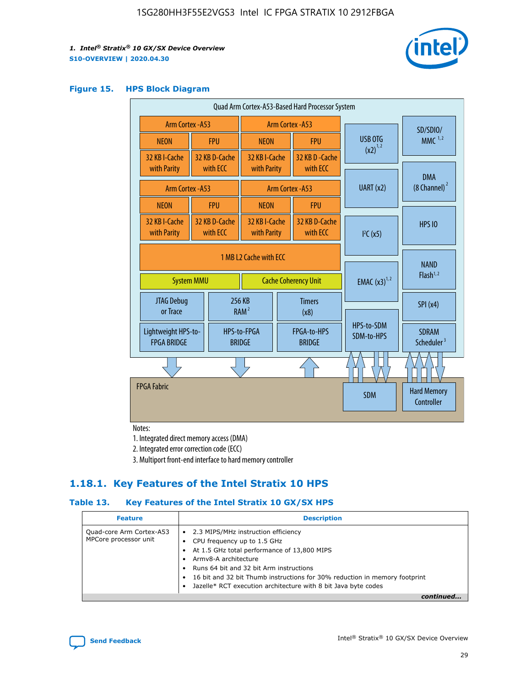

#### **Figure 15. HPS Block Diagram**

| Quad Arm Cortex-A53-Based Hard Processor System |                                             |                           |                                                           |                          |                                     |                                        |                                  |
|-------------------------------------------------|---------------------------------------------|---------------------------|-----------------------------------------------------------|--------------------------|-------------------------------------|----------------------------------------|----------------------------------|
|                                                 | <b>Arm Cortex - A53</b><br>Arm Cortex - A53 |                           |                                                           |                          |                                     | SD/SDIO/                               |                                  |
| <b>NEON</b>                                     |                                             | <b>FPU</b>                | <b>NEON</b>                                               |                          | <b>FPU</b>                          | USB OTG                                | $MMC$ <sup>1,2</sup>             |
| 32 KB I-Cache                                   |                                             | 32 KB D-Cache             | 32 KB I-Cache                                             |                          | 32 KB D - Cache                     | $(x2)^{1,2}$                           |                                  |
| with Parity                                     |                                             | with ECC                  | with Parity                                               |                          | with ECC                            |                                        | <b>DMA</b>                       |
| <b>Arm Cortex - A53</b>                         |                                             |                           |                                                           | Arm Cortex - A53         |                                     | UART (x2)                              | (8 Channel) <sup>2</sup>         |
| <b>NEON</b>                                     |                                             | <b>FPU</b>                | <b>NEON</b>                                               |                          | <b>FPU</b>                          |                                        |                                  |
| 32 KB I-Cache<br>with Parity                    |                                             | 32 KB D-Cache<br>with ECC | 32 KB I-Cache<br>32 KB D-Cache<br>with Parity<br>with ECC |                          | I <sup>2</sup> C(x5)                | <b>HPS 10</b>                          |                                  |
| 1 MB L2 Cache with ECC<br><b>System MMU</b>     |                                             |                           | <b>Cache Coherency Unit</b>                               | <b>EMAC</b> $(x3)^{1,2}$ | <b>NAND</b><br>Flash <sup>1,2</sup> |                                        |                                  |
| JTAG Debug<br>or Trace                          |                                             |                           | 256 KB<br>RAM <sup>2</sup>                                | <b>Timers</b><br>(x8)    |                                     |                                        | SPI(x4)                          |
| <b>FPGA BRIDGE</b>                              | Lightweight HPS-to-<br><b>BRIDGE</b>        |                           | FPGA-to-HPS<br>HPS-to-FPGA<br><b>BRIDGE</b>               |                          | HPS-to-SDM<br>SDM-to-HPS            | <b>SDRAM</b><br>Scheduler <sup>3</sup> |                                  |
|                                                 |                                             |                           |                                                           |                          |                                     |                                        |                                  |
| <b>FPGA Fabric</b>                              |                                             |                           |                                                           |                          |                                     | <b>SDM</b>                             | <b>Hard Memory</b><br>Controller |

Notes:

1. Integrated direct memory access (DMA)

2. Integrated error correction code (ECC)

3. Multiport front-end interface to hard memory controller

## **1.18.1. Key Features of the Intel Stratix 10 HPS**

#### **Table 13. Key Features of the Intel Stratix 10 GX/SX HPS**

| <b>Feature</b>                                    | <b>Description</b>                                                                                                                                                                                                                                                                                                                                     |
|---------------------------------------------------|--------------------------------------------------------------------------------------------------------------------------------------------------------------------------------------------------------------------------------------------------------------------------------------------------------------------------------------------------------|
| Quad-core Arm Cortex-A53<br>MPCore processor unit | 2.3 MIPS/MHz instruction efficiency<br>$\bullet$<br>CPU frequency up to 1.5 GHz<br>٠<br>At 1.5 GHz total performance of 13,800 MIPS<br>Army8-A architecture<br>Runs 64 bit and 32 bit Arm instructions<br>16 bit and 32 bit Thumb instructions for 30% reduction in memory footprint<br>Jazelle* RCT execution architecture with 8 bit Java byte codes |
|                                                   |                                                                                                                                                                                                                                                                                                                                                        |

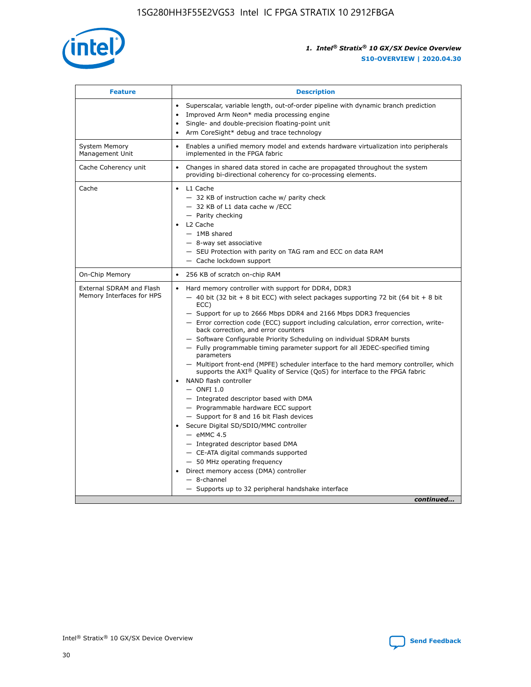

| <b>Feature</b>                                        | <b>Description</b>                                                                                                                                                                                                                                                                                                                                                                                                                                                                                                                                                                                                                                                                                                                                                                                                                                                                                                                                                                                                                                                                                                                                                                                                       |
|-------------------------------------------------------|--------------------------------------------------------------------------------------------------------------------------------------------------------------------------------------------------------------------------------------------------------------------------------------------------------------------------------------------------------------------------------------------------------------------------------------------------------------------------------------------------------------------------------------------------------------------------------------------------------------------------------------------------------------------------------------------------------------------------------------------------------------------------------------------------------------------------------------------------------------------------------------------------------------------------------------------------------------------------------------------------------------------------------------------------------------------------------------------------------------------------------------------------------------------------------------------------------------------------|
|                                                       | Superscalar, variable length, out-of-order pipeline with dynamic branch prediction<br>Improved Arm Neon* media processing engine<br>$\bullet$<br>Single- and double-precision floating-point unit<br>Arm CoreSight* debug and trace technology                                                                                                                                                                                                                                                                                                                                                                                                                                                                                                                                                                                                                                                                                                                                                                                                                                                                                                                                                                           |
| <b>System Memory</b><br>Management Unit               | Enables a unified memory model and extends hardware virtualization into peripherals<br>$\bullet$<br>implemented in the FPGA fabric                                                                                                                                                                                                                                                                                                                                                                                                                                                                                                                                                                                                                                                                                                                                                                                                                                                                                                                                                                                                                                                                                       |
| Cache Coherency unit                                  | Changes in shared data stored in cache are propagated throughout the system<br>$\bullet$<br>providing bi-directional coherency for co-processing elements.                                                                                                                                                                                                                                                                                                                                                                                                                                                                                                                                                                                                                                                                                                                                                                                                                                                                                                                                                                                                                                                               |
| Cache                                                 | L1 Cache<br>$\bullet$<br>- 32 KB of instruction cache w/ parity check<br>- 32 KB of L1 data cache w /ECC<br>- Parity checking<br>L2 Cache<br>$-$ 1MB shared<br>- 8-way set associative<br>- SEU Protection with parity on TAG ram and ECC on data RAM<br>- Cache lockdown support                                                                                                                                                                                                                                                                                                                                                                                                                                                                                                                                                                                                                                                                                                                                                                                                                                                                                                                                        |
| On-Chip Memory                                        | 256 KB of scratch on-chip RAM<br>$\bullet$                                                                                                                                                                                                                                                                                                                                                                                                                                                                                                                                                                                                                                                                                                                                                                                                                                                                                                                                                                                                                                                                                                                                                                               |
| External SDRAM and Flash<br>Memory Interfaces for HPS | Hard memory controller with support for DDR4, DDR3<br>$\bullet$<br>$-$ 40 bit (32 bit + 8 bit ECC) with select packages supporting 72 bit (64 bit + 8 bit<br>ECC)<br>- Support for up to 2666 Mbps DDR4 and 2166 Mbps DDR3 frequencies<br>- Error correction code (ECC) support including calculation, error correction, write-<br>back correction, and error counters<br>- Software Configurable Priority Scheduling on individual SDRAM bursts<br>- Fully programmable timing parameter support for all JEDEC-specified timing<br>parameters<br>- Multiport front-end (MPFE) scheduler interface to the hard memory controller, which<br>supports the $AXI^{\circledR}$ Quality of Service (QoS) for interface to the FPGA fabric<br>NAND flash controller<br>$-$ ONFI 1.0<br>- Integrated descriptor based with DMA<br>- Programmable hardware ECC support<br>- Support for 8 and 16 bit Flash devices<br>Secure Digital SD/SDIO/MMC controller<br>$-$ eMMC 4.5<br>- Integrated descriptor based DMA<br>- CE-ATA digital commands supported<br>- 50 MHz operating frequency<br>Direct memory access (DMA) controller<br>$\bullet$<br>$-$ 8-channel<br>- Supports up to 32 peripheral handshake interface<br>continued |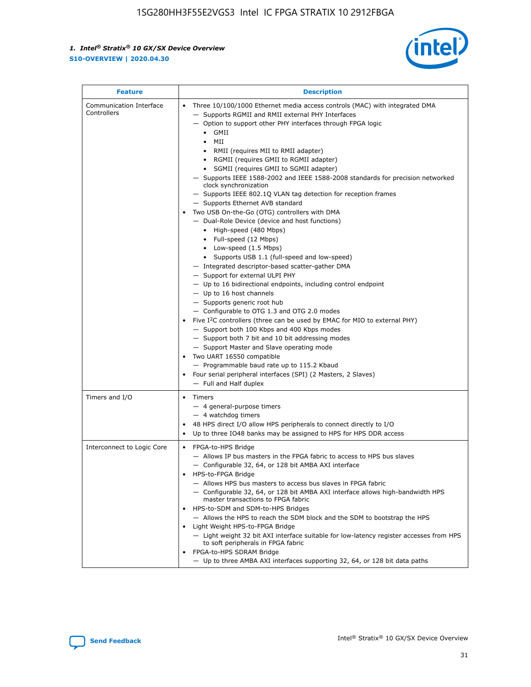

| <b>Feature</b>                         | <b>Description</b>                                                                                                                                                                                                                                                                                                                                                                                                                                                                                                                                                                                                                                                                                                                                                                                                                                                                                                                                                                                                                                                                                                                                                                                                                                                                                                                                                                                                                                                                                |  |  |  |
|----------------------------------------|---------------------------------------------------------------------------------------------------------------------------------------------------------------------------------------------------------------------------------------------------------------------------------------------------------------------------------------------------------------------------------------------------------------------------------------------------------------------------------------------------------------------------------------------------------------------------------------------------------------------------------------------------------------------------------------------------------------------------------------------------------------------------------------------------------------------------------------------------------------------------------------------------------------------------------------------------------------------------------------------------------------------------------------------------------------------------------------------------------------------------------------------------------------------------------------------------------------------------------------------------------------------------------------------------------------------------------------------------------------------------------------------------------------------------------------------------------------------------------------------------|--|--|--|
| Communication Interface<br>Controllers | Three 10/100/1000 Ethernet media access controls (MAC) with integrated DMA<br>- Supports RGMII and RMII external PHY Interfaces<br>- Option to support other PHY interfaces through FPGA logic<br>$\bullet$ GMII<br>MII<br>$\bullet$<br>• RMII (requires MII to RMII adapter)<br>• RGMII (requires GMII to RGMII adapter)<br>• SGMII (requires GMII to SGMII adapter)<br>- Supports IEEE 1588-2002 and IEEE 1588-2008 standards for precision networked<br>clock synchronization<br>- Supports IEEE 802.1Q VLAN tag detection for reception frames<br>- Supports Ethernet AVB standard<br>Two USB On-the-Go (OTG) controllers with DMA<br>- Dual-Role Device (device and host functions)<br>• High-speed (480 Mbps)<br>• Full-speed (12 Mbps)<br>• Low-speed (1.5 Mbps)<br>• Supports USB 1.1 (full-speed and low-speed)<br>- Integrated descriptor-based scatter-gather DMA<br>- Support for external ULPI PHY<br>- Up to 16 bidirectional endpoints, including control endpoint<br>$-$ Up to 16 host channels<br>- Supports generic root hub<br>- Configurable to OTG 1.3 and OTG 2.0 modes<br>Five $I^2C$ controllers (three can be used by EMAC for MIO to external PHY)<br>- Support both 100 Kbps and 400 Kbps modes<br>- Support both 7 bit and 10 bit addressing modes<br>- Support Master and Slave operating mode<br>Two UART 16550 compatible<br>- Programmable baud rate up to 115.2 Kbaud<br>Four serial peripheral interfaces (SPI) (2 Masters, 2 Slaves)<br>- Full and Half duplex |  |  |  |
| Timers and I/O                         | • Timers<br>- 4 general-purpose timers<br>- 4 watchdog timers<br>48 HPS direct I/O allow HPS peripherals to connect directly to I/O<br>Up to three IO48 banks may be assigned to HPS for HPS DDR access                                                                                                                                                                                                                                                                                                                                                                                                                                                                                                                                                                                                                                                                                                                                                                                                                                                                                                                                                                                                                                                                                                                                                                                                                                                                                           |  |  |  |
| Interconnect to Logic Core             | • FPGA-to-HPS Bridge<br>- Allows IP bus masters in the FPGA fabric to access to HPS bus slaves<br>- Configurable 32, 64, or 128 bit AMBA AXI interface<br>HPS-to-FPGA Bridge<br>- Allows HPS bus masters to access bus slaves in FPGA fabric<br>- Configurable 32, 64, or 128 bit AMBA AXI interface allows high-bandwidth HPS<br>master transactions to FPGA fabric<br>HPS-to-SDM and SDM-to-HPS Bridges<br>- Allows the HPS to reach the SDM block and the SDM to bootstrap the HPS<br>Light Weight HPS-to-FPGA Bridge<br>- Light weight 32 bit AXI interface suitable for low-latency register accesses from HPS<br>to soft peripherals in FPGA fabric<br>FPGA-to-HPS SDRAM Bridge<br>- Up to three AMBA AXI interfaces supporting 32, 64, or 128 bit data paths                                                                                                                                                                                                                                                                                                                                                                                                                                                                                                                                                                                                                                                                                                                               |  |  |  |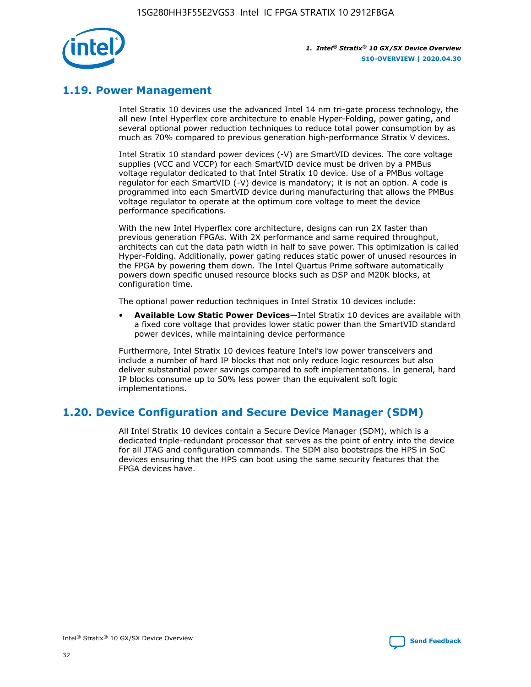

# **1.19. Power Management**

Intel Stratix 10 devices use the advanced Intel 14 nm tri-gate process technology, the all new Intel Hyperflex core architecture to enable Hyper-Folding, power gating, and several optional power reduction techniques to reduce total power consumption by as much as 70% compared to previous generation high-performance Stratix V devices.

Intel Stratix 10 standard power devices (-V) are SmartVID devices. The core voltage supplies (VCC and VCCP) for each SmartVID device must be driven by a PMBus voltage regulator dedicated to that Intel Stratix 10 device. Use of a PMBus voltage regulator for each SmartVID (-V) device is mandatory; it is not an option. A code is programmed into each SmartVID device during manufacturing that allows the PMBus voltage regulator to operate at the optimum core voltage to meet the device performance specifications.

With the new Intel Hyperflex core architecture, designs can run 2X faster than previous generation FPGAs. With 2X performance and same required throughput, architects can cut the data path width in half to save power. This optimization is called Hyper-Folding. Additionally, power gating reduces static power of unused resources in the FPGA by powering them down. The Intel Quartus Prime software automatically powers down specific unused resource blocks such as DSP and M20K blocks, at configuration time.

The optional power reduction techniques in Intel Stratix 10 devices include:

• **Available Low Static Power Devices**—Intel Stratix 10 devices are available with a fixed core voltage that provides lower static power than the SmartVID standard power devices, while maintaining device performance

Furthermore, Intel Stratix 10 devices feature Intel's low power transceivers and include a number of hard IP blocks that not only reduce logic resources but also deliver substantial power savings compared to soft implementations. In general, hard IP blocks consume up to 50% less power than the equivalent soft logic implementations.

# **1.20. Device Configuration and Secure Device Manager (SDM)**

All Intel Stratix 10 devices contain a Secure Device Manager (SDM), which is a dedicated triple-redundant processor that serves as the point of entry into the device for all JTAG and configuration commands. The SDM also bootstraps the HPS in SoC devices ensuring that the HPS can boot using the same security features that the FPGA devices have.

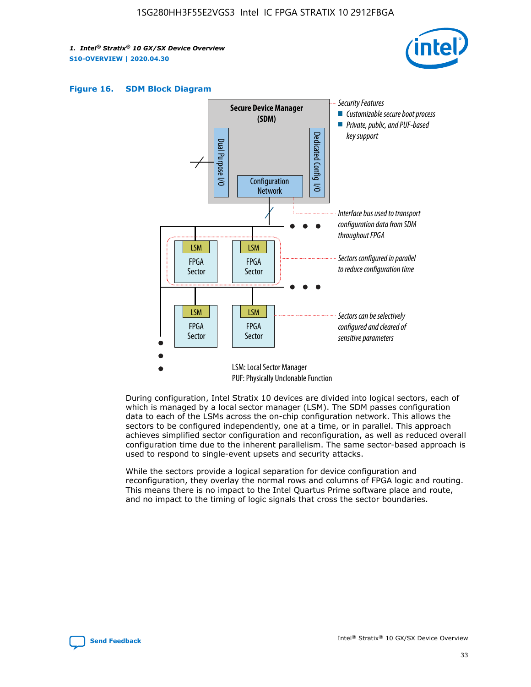





During configuration, Intel Stratix 10 devices are divided into logical sectors, each of which is managed by a local sector manager (LSM). The SDM passes configuration data to each of the LSMs across the on-chip configuration network. This allows the sectors to be configured independently, one at a time, or in parallel. This approach achieves simplified sector configuration and reconfiguration, as well as reduced overall configuration time due to the inherent parallelism. The same sector-based approach is used to respond to single-event upsets and security attacks.

While the sectors provide a logical separation for device configuration and reconfiguration, they overlay the normal rows and columns of FPGA logic and routing. This means there is no impact to the Intel Quartus Prime software place and route, and no impact to the timing of logic signals that cross the sector boundaries.

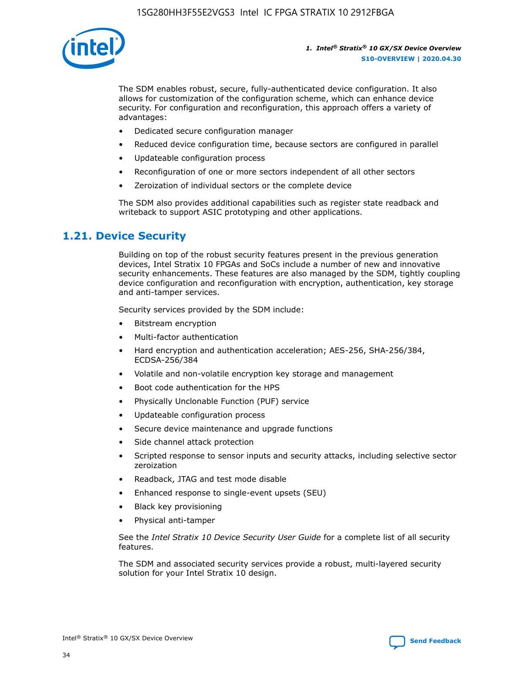

The SDM enables robust, secure, fully-authenticated device configuration. It also allows for customization of the configuration scheme, which can enhance device security. For configuration and reconfiguration, this approach offers a variety of advantages:

- Dedicated secure configuration manager
- Reduced device configuration time, because sectors are configured in parallel
- Updateable configuration process
- Reconfiguration of one or more sectors independent of all other sectors
- Zeroization of individual sectors or the complete device

The SDM also provides additional capabilities such as register state readback and writeback to support ASIC prototyping and other applications.

## **1.21. Device Security**

Building on top of the robust security features present in the previous generation devices, Intel Stratix 10 FPGAs and SoCs include a number of new and innovative security enhancements. These features are also managed by the SDM, tightly coupling device configuration and reconfiguration with encryption, authentication, key storage and anti-tamper services.

Security services provided by the SDM include:

- Bitstream encryption
- Multi-factor authentication
- Hard encryption and authentication acceleration; AES-256, SHA-256/384, ECDSA-256/384
- Volatile and non-volatile encryption key storage and management
- Boot code authentication for the HPS
- Physically Unclonable Function (PUF) service
- Updateable configuration process
- Secure device maintenance and upgrade functions
- Side channel attack protection
- Scripted response to sensor inputs and security attacks, including selective sector zeroization
- Readback, JTAG and test mode disable
- Enhanced response to single-event upsets (SEU)
- Black key provisioning
- Physical anti-tamper

See the *Intel Stratix 10 Device Security User Guide* for a complete list of all security features.

The SDM and associated security services provide a robust, multi-layered security solution for your Intel Stratix 10 design.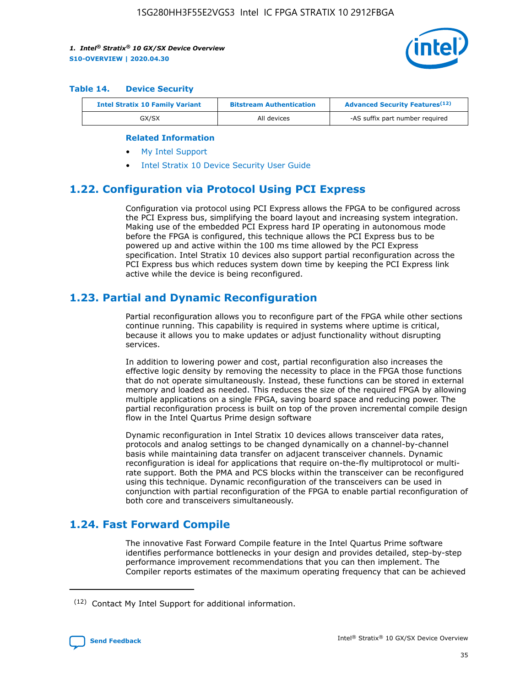

#### **Table 14. Device Security**

| <b>Intel Stratix 10 Family Variant</b> | <b>Bitstream Authentication</b> | <b>Advanced Security Features</b> <sup>(12)</sup> |
|----------------------------------------|---------------------------------|---------------------------------------------------|
| GX/SX                                  | All devices                     | -AS suffix part number required                   |

#### **Related Information**

- [My Intel Support](https://www.intel.com/content/www/us/en/programmable/my-intel/mal-home.html)
- [Intel Stratix 10 Device Security User Guide](https://www.intel.com/content/www/us/en/programmable/documentation/ndq1483601370898.html#wcd1483611014402)

## **1.22. Configuration via Protocol Using PCI Express**

Configuration via protocol using PCI Express allows the FPGA to be configured across the PCI Express bus, simplifying the board layout and increasing system integration. Making use of the embedded PCI Express hard IP operating in autonomous mode before the FPGA is configured, this technique allows the PCI Express bus to be powered up and active within the 100 ms time allowed by the PCI Express specification. Intel Stratix 10 devices also support partial reconfiguration across the PCI Express bus which reduces system down time by keeping the PCI Express link active while the device is being reconfigured.

## **1.23. Partial and Dynamic Reconfiguration**

Partial reconfiguration allows you to reconfigure part of the FPGA while other sections continue running. This capability is required in systems where uptime is critical, because it allows you to make updates or adjust functionality without disrupting services.

In addition to lowering power and cost, partial reconfiguration also increases the effective logic density by removing the necessity to place in the FPGA those functions that do not operate simultaneously. Instead, these functions can be stored in external memory and loaded as needed. This reduces the size of the required FPGA by allowing multiple applications on a single FPGA, saving board space and reducing power. The partial reconfiguration process is built on top of the proven incremental compile design flow in the Intel Quartus Prime design software

Dynamic reconfiguration in Intel Stratix 10 devices allows transceiver data rates, protocols and analog settings to be changed dynamically on a channel-by-channel basis while maintaining data transfer on adjacent transceiver channels. Dynamic reconfiguration is ideal for applications that require on-the-fly multiprotocol or multirate support. Both the PMA and PCS blocks within the transceiver can be reconfigured using this technique. Dynamic reconfiguration of the transceivers can be used in conjunction with partial reconfiguration of the FPGA to enable partial reconfiguration of both core and transceivers simultaneously.

# **1.24. Fast Forward Compile**

The innovative Fast Forward Compile feature in the Intel Quartus Prime software identifies performance bottlenecks in your design and provides detailed, step-by-step performance improvement recommendations that you can then implement. The Compiler reports estimates of the maximum operating frequency that can be achieved

<sup>(12)</sup> Contact My Intel Support for additional information.

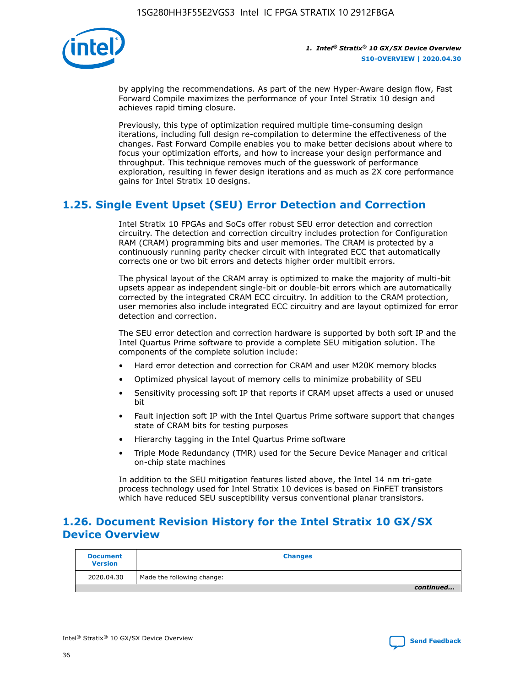

by applying the recommendations. As part of the new Hyper-Aware design flow, Fast Forward Compile maximizes the performance of your Intel Stratix 10 design and achieves rapid timing closure.

Previously, this type of optimization required multiple time-consuming design iterations, including full design re-compilation to determine the effectiveness of the changes. Fast Forward Compile enables you to make better decisions about where to focus your optimization efforts, and how to increase your design performance and throughput. This technique removes much of the guesswork of performance exploration, resulting in fewer design iterations and as much as 2X core performance gains for Intel Stratix 10 designs.

# **1.25. Single Event Upset (SEU) Error Detection and Correction**

Intel Stratix 10 FPGAs and SoCs offer robust SEU error detection and correction circuitry. The detection and correction circuitry includes protection for Configuration RAM (CRAM) programming bits and user memories. The CRAM is protected by a continuously running parity checker circuit with integrated ECC that automatically corrects one or two bit errors and detects higher order multibit errors.

The physical layout of the CRAM array is optimized to make the majority of multi-bit upsets appear as independent single-bit or double-bit errors which are automatically corrected by the integrated CRAM ECC circuitry. In addition to the CRAM protection, user memories also include integrated ECC circuitry and are layout optimized for error detection and correction.

The SEU error detection and correction hardware is supported by both soft IP and the Intel Quartus Prime software to provide a complete SEU mitigation solution. The components of the complete solution include:

- Hard error detection and correction for CRAM and user M20K memory blocks
- Optimized physical layout of memory cells to minimize probability of SEU
- Sensitivity processing soft IP that reports if CRAM upset affects a used or unused bit
- Fault injection soft IP with the Intel Quartus Prime software support that changes state of CRAM bits for testing purposes
- Hierarchy tagging in the Intel Quartus Prime software
- Triple Mode Redundancy (TMR) used for the Secure Device Manager and critical on-chip state machines

In addition to the SEU mitigation features listed above, the Intel 14 nm tri-gate process technology used for Intel Stratix 10 devices is based on FinFET transistors which have reduced SEU susceptibility versus conventional planar transistors.

# **1.26. Document Revision History for the Intel Stratix 10 GX/SX Device Overview**

| <b>Document</b><br><b>Version</b> | <b>Changes</b>             |
|-----------------------------------|----------------------------|
| 2020.04.30                        | Made the following change: |
|                                   | continued                  |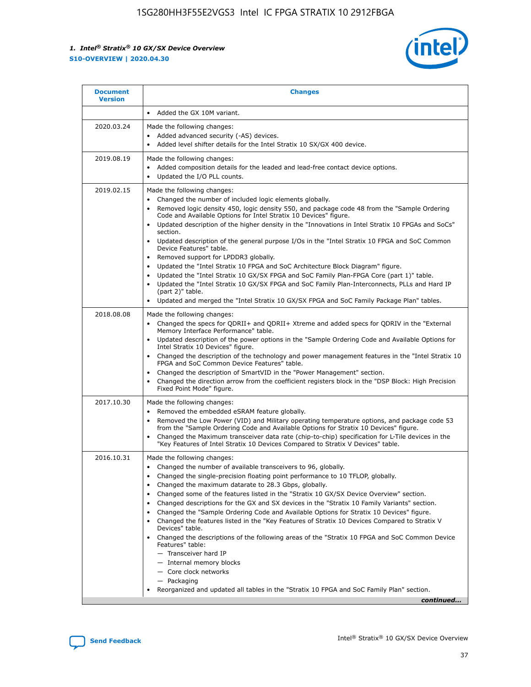

| 2020.03.24<br>2019.08.19 | Added the GX 10M variant.<br>Made the following changes:<br>Added advanced security (-AS) devices.<br>$\bullet$<br>Added level shifter details for the Intel Stratix 10 SX/GX 400 device.<br>٠<br>Made the following changes:<br>Added composition details for the leaded and lead-free contact device options.<br>Updated the I/O PLL counts.<br>٠                                                                                                                                                                                                                                                                                                                                                                                                                                                                                                                                                                                                                                                      |
|--------------------------|----------------------------------------------------------------------------------------------------------------------------------------------------------------------------------------------------------------------------------------------------------------------------------------------------------------------------------------------------------------------------------------------------------------------------------------------------------------------------------------------------------------------------------------------------------------------------------------------------------------------------------------------------------------------------------------------------------------------------------------------------------------------------------------------------------------------------------------------------------------------------------------------------------------------------------------------------------------------------------------------------------|
|                          |                                                                                                                                                                                                                                                                                                                                                                                                                                                                                                                                                                                                                                                                                                                                                                                                                                                                                                                                                                                                          |
|                          |                                                                                                                                                                                                                                                                                                                                                                                                                                                                                                                                                                                                                                                                                                                                                                                                                                                                                                                                                                                                          |
|                          |                                                                                                                                                                                                                                                                                                                                                                                                                                                                                                                                                                                                                                                                                                                                                                                                                                                                                                                                                                                                          |
| 2019.02.15               | Made the following changes:<br>Changed the number of included logic elements globally.<br>$\bullet$<br>Removed logic density 450, logic density 550, and package code 48 from the "Sample Ordering<br>٠<br>Code and Available Options for Intel Stratix 10 Devices" figure.<br>Updated description of the higher density in the "Innovations in Intel Stratix 10 FPGAs and SoCs"<br>section.<br>Updated description of the general purpose I/Os in the "Intel Stratix 10 FPGA and SoC Common<br>$\bullet$<br>Device Features" table.<br>Removed support for LPDDR3 globally.<br>٠<br>Updated the "Intel Stratix 10 FPGA and SoC Architecture Block Diagram" figure.<br>$\bullet$<br>Updated the "Intel Stratix 10 GX/SX FPGA and SoC Family Plan-FPGA Core (part 1)" table.<br>$\bullet$<br>Updated the "Intel Stratix 10 GX/SX FPGA and SoC Family Plan-Interconnects, PLLs and Hard IP<br>(part 2)" table.<br>Updated and merged the "Intel Stratix 10 GX/SX FPGA and SoC Family Package Plan" tables. |
| 2018.08.08               | Made the following changes:<br>Changed the specs for QDRII+ and QDRII+ Xtreme and added specs for QDRIV in the "External<br>$\bullet$<br>Memory Interface Performance" table.<br>Updated description of the power options in the "Sample Ordering Code and Available Options for<br>Intel Stratix 10 Devices" figure.<br>Changed the description of the technology and power management features in the "Intel Stratix 10<br>FPGA and SoC Common Device Features" table.<br>Changed the description of SmartVID in the "Power Management" section.<br>Changed the direction arrow from the coefficient registers block in the "DSP Block: High Precision<br>٠<br>Fixed Point Mode" figure.                                                                                                                                                                                                                                                                                                               |
| 2017.10.30               | Made the following changes:<br>Removed the embedded eSRAM feature globally.<br>$\bullet$<br>Removed the Low Power (VID) and Military operating temperature options, and package code 53<br>٠<br>from the "Sample Ordering Code and Available Options for Stratix 10 Devices" figure.<br>Changed the Maximum transceiver data rate (chip-to-chip) specification for L-Tile devices in the<br>$\bullet$<br>"Key Features of Intel Stratix 10 Devices Compared to Stratix V Devices" table.                                                                                                                                                                                                                                                                                                                                                                                                                                                                                                                 |
| 2016.10.31               | Made the following changes:<br>• Changed the number of available transceivers to 96, globally.<br>Changed the single-precision floating point performance to 10 TFLOP, globally.<br>Changed the maximum datarate to 28.3 Gbps, globally.<br>٠<br>Changed some of the features listed in the "Stratix 10 GX/SX Device Overview" section.<br>٠<br>Changed descriptions for the GX and SX devices in the "Stratix 10 Family Variants" section.<br>٠<br>Changed the "Sample Ordering Code and Available Options for Stratix 10 Devices" figure.<br>Changed the features listed in the "Key Features of Stratix 10 Devices Compared to Stratix V<br>Devices" table.<br>Changed the descriptions of the following areas of the "Stratix 10 FPGA and SoC Common Device<br>Features" table:<br>- Transceiver hard IP<br>- Internal memory blocks<br>- Core clock networks<br>- Packaging<br>Reorganized and updated all tables in the "Stratix 10 FPGA and SoC Family Plan" section.<br>continued                |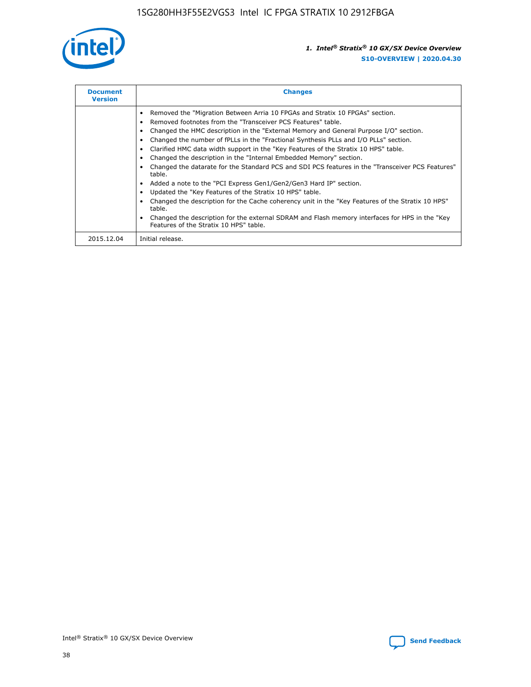

| <b>Document</b><br><b>Version</b> | <b>Changes</b>                                                                                                                                                                                                                                                                                                                                                                                                                                                                                                                                                                                                                                                                                                                                                                                                                                                                                                                                                                                     |  |
|-----------------------------------|----------------------------------------------------------------------------------------------------------------------------------------------------------------------------------------------------------------------------------------------------------------------------------------------------------------------------------------------------------------------------------------------------------------------------------------------------------------------------------------------------------------------------------------------------------------------------------------------------------------------------------------------------------------------------------------------------------------------------------------------------------------------------------------------------------------------------------------------------------------------------------------------------------------------------------------------------------------------------------------------------|--|
|                                   | Removed the "Migration Between Arria 10 FPGAs and Stratix 10 FPGAs" section.<br>Removed footnotes from the "Transceiver PCS Features" table.<br>Changed the HMC description in the "External Memory and General Purpose I/O" section.<br>Changed the number of fPLLs in the "Fractional Synthesis PLLs and I/O PLLs" section.<br>Clarified HMC data width support in the "Key Features of the Stratix 10 HPS" table.<br>Changed the description in the "Internal Embedded Memory" section.<br>Changed the datarate for the Standard PCS and SDI PCS features in the "Transceiver PCS Features"<br>table.<br>Added a note to the "PCI Express Gen1/Gen2/Gen3 Hard IP" section.<br>Updated the "Key Features of the Stratix 10 HPS" table.<br>Changed the description for the Cache coherency unit in the "Key Features of the Stratix 10 HPS"<br>table.<br>Changed the description for the external SDRAM and Flash memory interfaces for HPS in the "Key<br>Features of the Stratix 10 HPS" table. |  |
| 2015.12.04                        | Initial release.                                                                                                                                                                                                                                                                                                                                                                                                                                                                                                                                                                                                                                                                                                                                                                                                                                                                                                                                                                                   |  |